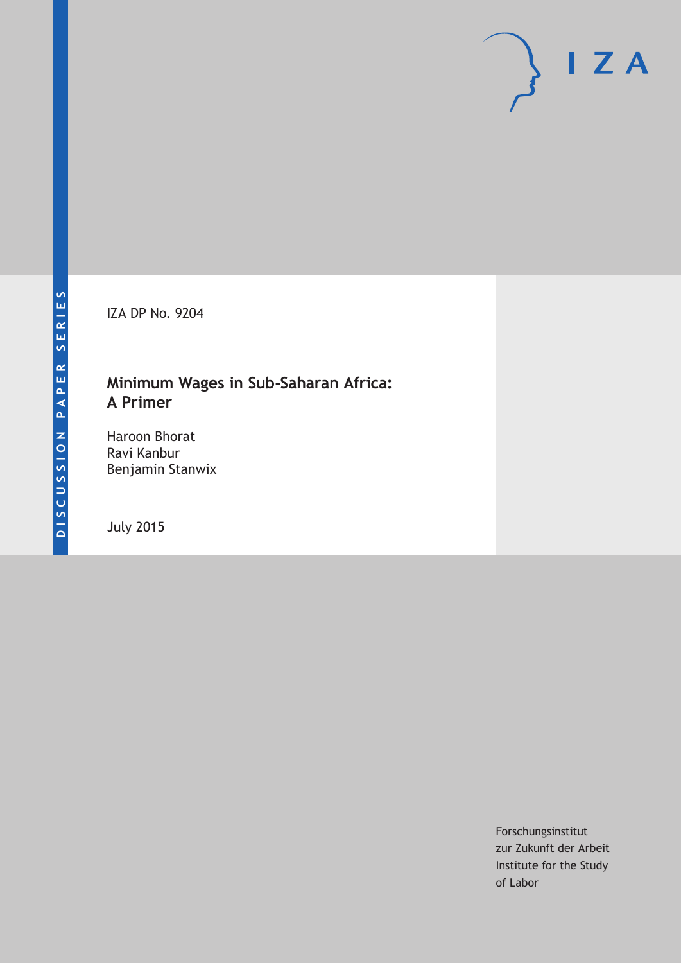IZA DP No. 9204

# **Minimum Wages in Sub-Saharan Africa: A Primer**

Haroon Bhorat Ravi Kanbur Benjamin Stanwix

July 2015

Forschungsinstitut zur Zukunft der Arbeit Institute for the Study of Labor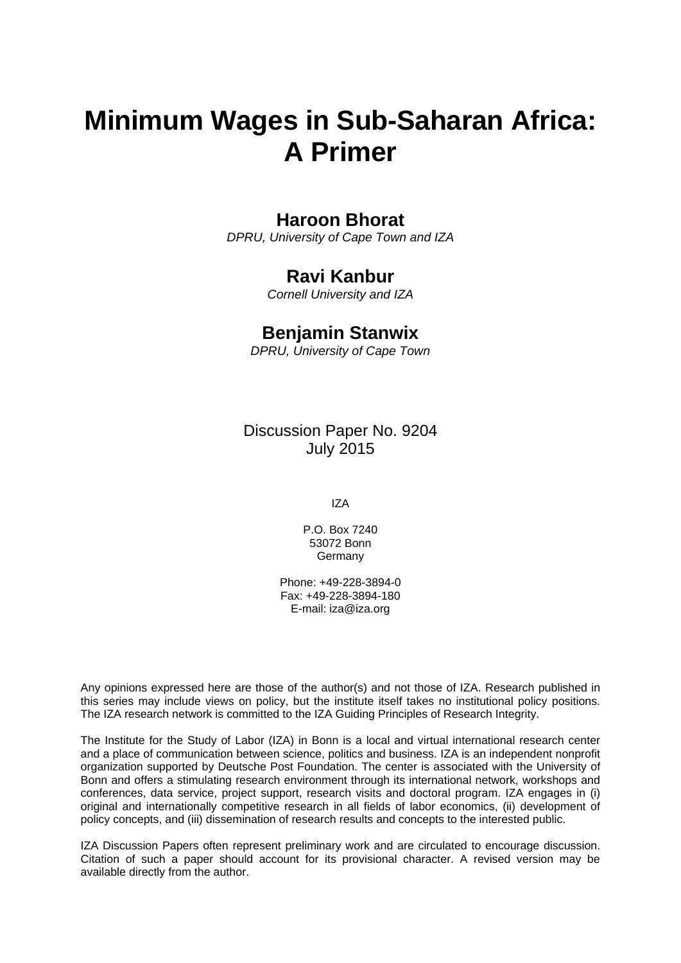# **Minimum Wages in Sub-Saharan Africa: A Primer**

# **Haroon Bhorat**

*DPRU, University of Cape Town and IZA* 

# **Ravi Kanbur**

*Cornell University and IZA* 

## **Benjamin Stanwix**

*DPRU, University of Cape Town*

Discussion Paper No. 9204 July 2015

IZA

P.O. Box 7240 53072 Bonn **Germany** 

Phone: +49-228-3894-0 Fax: +49-228-3894-180 E-mail: iza@iza.org

Any opinions expressed here are those of the author(s) and not those of IZA. Research published in this series may include views on policy, but the institute itself takes no institutional policy positions. The IZA research network is committed to the IZA Guiding Principles of Research Integrity.

The Institute for the Study of Labor (IZA) in Bonn is a local and virtual international research center and a place of communication between science, politics and business. IZA is an independent nonprofit organization supported by Deutsche Post Foundation. The center is associated with the University of Bonn and offers a stimulating research environment through its international network, workshops and conferences, data service, project support, research visits and doctoral program. IZA engages in (i) original and internationally competitive research in all fields of labor economics, (ii) development of policy concepts, and (iii) dissemination of research results and concepts to the interested public.

IZA Discussion Papers often represent preliminary work and are circulated to encourage discussion. Citation of such a paper should account for its provisional character. A revised version may be available directly from the author.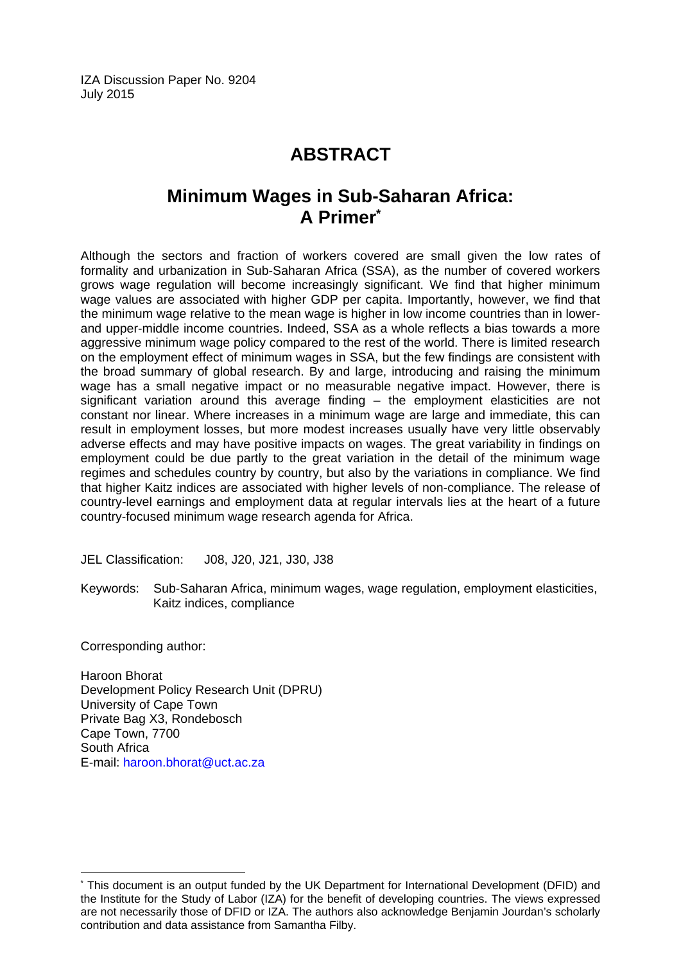IZA Discussion Paper No. 9204 July 2015

# **ABSTRACT**

# **Minimum Wages in Sub-Saharan Africa: A Primer\***

Although the sectors and fraction of workers covered are small given the low rates of formality and urbanization in Sub-Saharan Africa (SSA), as the number of covered workers grows wage regulation will become increasingly significant. We find that higher minimum wage values are associated with higher GDP per capita. Importantly, however, we find that the minimum wage relative to the mean wage is higher in low income countries than in lowerand upper-middle income countries. Indeed, SSA as a whole reflects a bias towards a more aggressive minimum wage policy compared to the rest of the world. There is limited research on the employment effect of minimum wages in SSA, but the few findings are consistent with the broad summary of global research. By and large, introducing and raising the minimum wage has a small negative impact or no measurable negative impact. However, there is significant variation around this average finding – the employment elasticities are not constant nor linear. Where increases in a minimum wage are large and immediate, this can result in employment losses, but more modest increases usually have very little observably adverse effects and may have positive impacts on wages. The great variability in findings on employment could be due partly to the great variation in the detail of the minimum wage regimes and schedules country by country, but also by the variations in compliance. We find that higher Kaitz indices are associated with higher levels of non-compliance. The release of country-level earnings and employment data at regular intervals lies at the heart of a future country-focused minimum wage research agenda for Africa.

JEL Classification: J08, J20, J21, J30, J38

Keywords: Sub-Saharan Africa, minimum wages, wage regulation, employment elasticities, Kaitz indices, compliance

Corresponding author:

 $\overline{a}$ 

Haroon Bhorat Development Policy Research Unit (DPRU) University of Cape Town Private Bag X3, Rondebosch Cape Town, 7700 South Africa E-mail: haroon.bhorat@uct.ac.za

<sup>\*</sup> This document is an output funded by the UK Department for International Development (DFID) and the Institute for the Study of Labor (IZA) for the benefit of developing countries. The views expressed are not necessarily those of DFID or IZA. The authors also acknowledge Benjamin Jourdan's scholarly contribution and data assistance from Samantha Filby.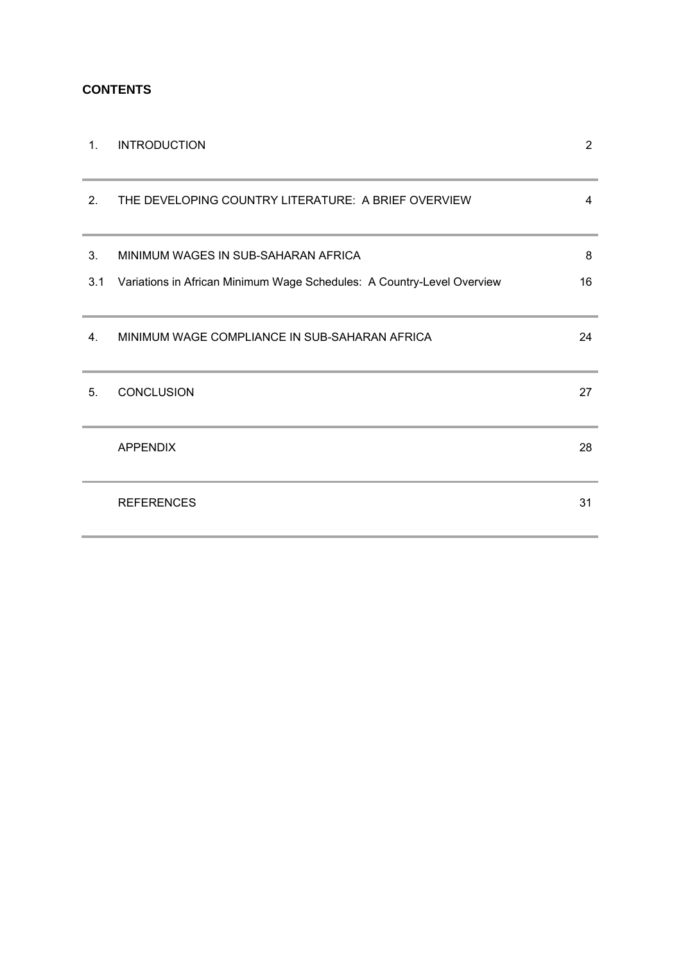## **CONTENTS**

| 1.  | <b>INTRODUCTION</b>                                                    | $\overline{2}$ |
|-----|------------------------------------------------------------------------|----------------|
| 2.  | THE DEVELOPING COUNTRY LITERATURE: A BRIEF OVERVIEW                    | 4              |
| 3.  | MINIMUM WAGES IN SUB-SAHARAN AFRICA                                    | 8              |
| 3.1 | Variations in African Minimum Wage Schedules: A Country-Level Overview | 16             |
| 4.  | MINIMUM WAGE COMPLIANCE IN SUB-SAHARAN AFRICA                          | 24             |
| 5.  | <b>CONCLUSION</b>                                                      | 27             |
|     | <b>APPENDIX</b>                                                        | 28             |
|     | <b>REFERENCES</b>                                                      | 31             |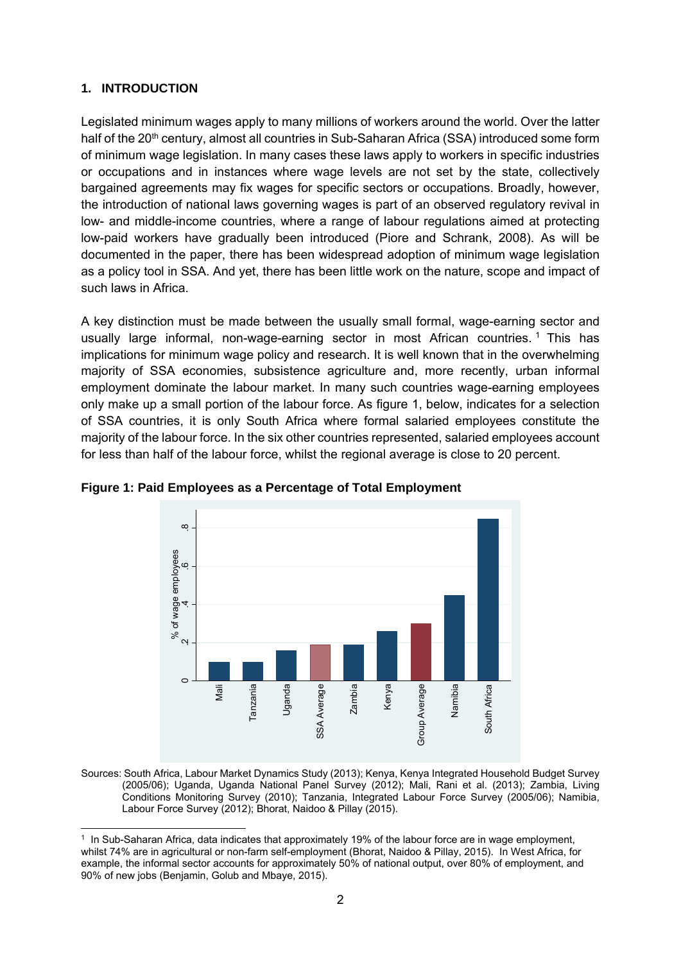#### **1. INTRODUCTION**

Legislated minimum wages apply to many millions of workers around the world. Over the latter half of the 20<sup>th</sup> century, almost all countries in Sub-Saharan Africa (SSA) introduced some form of minimum wage legislation. In many cases these laws apply to workers in specific industries or occupations and in instances where wage levels are not set by the state, collectively bargained agreements may fix wages for specific sectors or occupations. Broadly, however, the introduction of national laws governing wages is part of an observed regulatory revival in low- and middle-income countries, where a range of labour regulations aimed at protecting low-paid workers have gradually been introduced (Piore and Schrank, 2008). As will be documented in the paper, there has been widespread adoption of minimum wage legislation as a policy tool in SSA. And yet, there has been little work on the nature, scope and impact of such laws in Africa.

A key distinction must be made between the usually small formal, wage-earning sector and usually large informal, non-wage-earning sector in most African countries.<sup>1</sup> This has implications for minimum wage policy and research. It is well known that in the overwhelming majority of SSA economies, subsistence agriculture and, more recently, urban informal employment dominate the labour market. In many such countries wage-earning employees only make up a small portion of the labour force. As figure 1, below, indicates for a selection of SSA countries, it is only South Africa where formal salaried employees constitute the majority of the labour force. In the six other countries represented, salaried employees account for less than half of the labour force, whilst the regional average is close to 20 percent.



**Figure 1: Paid Employees as a Percentage of Total Employment** 

Sources: South Africa, Labour Market Dynamics Study (2013); Kenya, Kenya Integrated Household Budget Survey (2005/06); Uganda, Uganda National Panel Survey (2012); Mali, Rani et al. (2013); Zambia, Living Conditions Monitoring Survey (2010); Tanzania, Integrated Labour Force Survey (2005/06); Namibia, Labour Force Survey (2012); Bhorat, Naidoo & Pillay (2015).

<sup>-</sup>1 In Sub-Saharan Africa, data indicates that approximately 19% of the labour force are in wage employment, whilst 74% are in agricultural or non-farm self-employment (Bhorat, Naidoo & Pillay, 2015). In West Africa, for example, the informal sector accounts for approximately 50% of national output, over 80% of employment, and 90% of new jobs (Benjamin, Golub and Mbaye, 2015).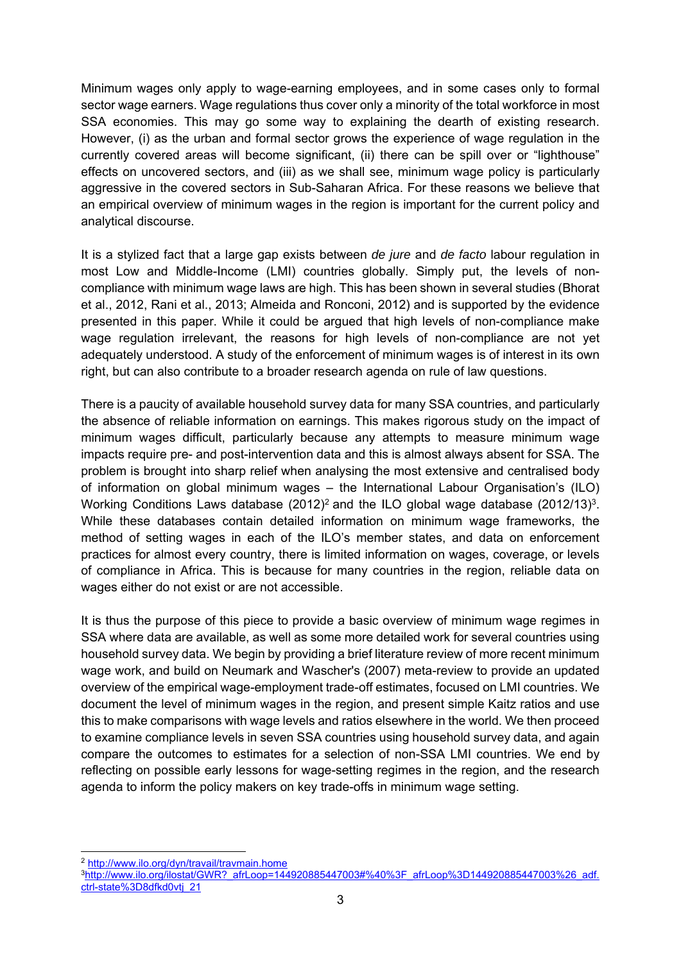Minimum wages only apply to wage-earning employees, and in some cases only to formal sector wage earners. Wage regulations thus cover only a minority of the total workforce in most SSA economies. This may go some way to explaining the dearth of existing research. However, (i) as the urban and formal sector grows the experience of wage regulation in the currently covered areas will become significant, (ii) there can be spill over or "lighthouse" effects on uncovered sectors, and (iii) as we shall see, minimum wage policy is particularly aggressive in the covered sectors in Sub-Saharan Africa. For these reasons we believe that an empirical overview of minimum wages in the region is important for the current policy and analytical discourse.

It is a stylized fact that a large gap exists between *de jure* and *de facto* labour regulation in most Low and Middle-Income (LMI) countries globally. Simply put, the levels of noncompliance with minimum wage laws are high. This has been shown in several studies (Bhorat et al., 2012, Rani et al., 2013; Almeida and Ronconi, 2012) and is supported by the evidence presented in this paper. While it could be argued that high levels of non-compliance make wage regulation irrelevant, the reasons for high levels of non-compliance are not yet adequately understood. A study of the enforcement of minimum wages is of interest in its own right, but can also contribute to a broader research agenda on rule of law questions.

There is a paucity of available household survey data for many SSA countries, and particularly the absence of reliable information on earnings. This makes rigorous study on the impact of minimum wages difficult, particularly because any attempts to measure minimum wage impacts require pre- and post-intervention data and this is almost always absent for SSA. The problem is brought into sharp relief when analysing the most extensive and centralised body of information on global minimum wages – the International Labour Organisation's (ILO) Working Conditions Laws database (2012)<sup>2</sup> and the ILO global wage database (2012/13)<sup>3</sup>. While these databases contain detailed information on minimum wage frameworks, the method of setting wages in each of the ILO's member states, and data on enforcement practices for almost every country, there is limited information on wages, coverage, or levels of compliance in Africa. This is because for many countries in the region, reliable data on wages either do not exist or are not accessible.

It is thus the purpose of this piece to provide a basic overview of minimum wage regimes in SSA where data are available, as well as some more detailed work for several countries using household survey data. We begin by providing a brief literature review of more recent minimum wage work, and build on Neumark and Wascher's (2007) meta-review to provide an updated overview of the empirical wage-employment trade-off estimates, focused on LMI countries. We document the level of minimum wages in the region, and present simple Kaitz ratios and use this to make comparisons with wage levels and ratios elsewhere in the world. We then proceed to examine compliance levels in seven SSA countries using household survey data, and again compare the outcomes to estimates for a selection of non-SSA LMI countries. We end by reflecting on possible early lessons for wage-setting regimes in the region, and the research agenda to inform the policy makers on key trade-offs in minimum wage setting.

-

<sup>&</sup>lt;sup>2</sup> http://www.ilo.org/dyn/travail/travmain.home<br><sup>3</sup>http://www.ilo.org/ilostat/GWR?\_afrLoop=144920885447003#%40%3F\_afrLoop%3D144920885447003%26\_adf. ctrl-state%3D8dfkd0vtj\_21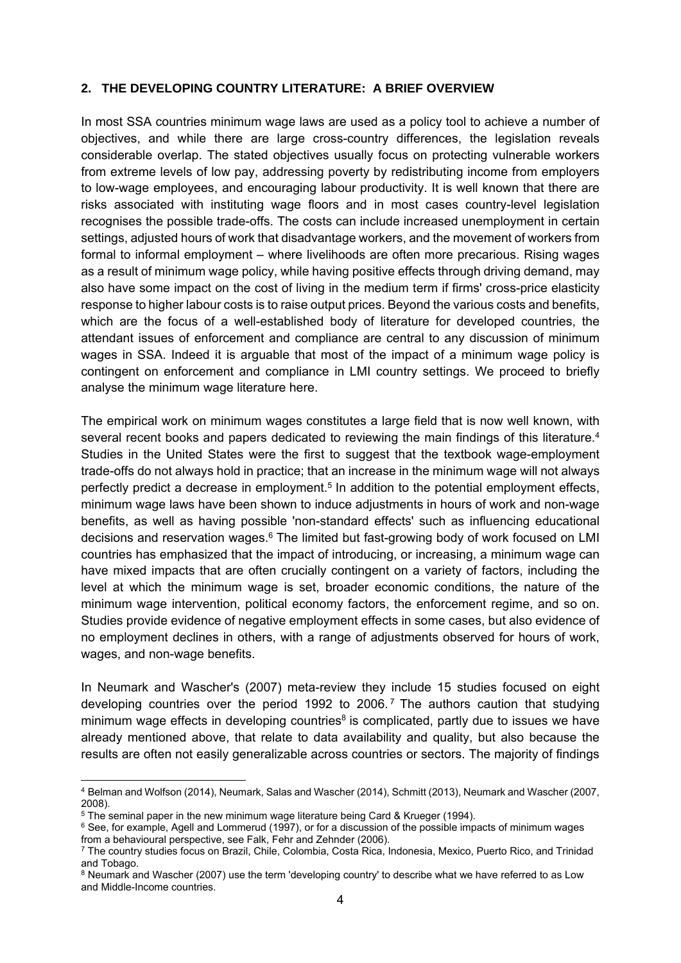#### **2. THE DEVELOPING COUNTRY LITERATURE: A BRIEF OVERVIEW**

In most SSA countries minimum wage laws are used as a policy tool to achieve a number of objectives, and while there are large cross-country differences, the legislation reveals considerable overlap. The stated objectives usually focus on protecting vulnerable workers from extreme levels of low pay, addressing poverty by redistributing income from employers to low-wage employees, and encouraging labour productivity. It is well known that there are risks associated with instituting wage floors and in most cases country-level legislation recognises the possible trade-offs. The costs can include increased unemployment in certain settings, adjusted hours of work that disadvantage workers, and the movement of workers from formal to informal employment – where livelihoods are often more precarious. Rising wages as a result of minimum wage policy, while having positive effects through driving demand, may also have some impact on the cost of living in the medium term if firms' cross-price elasticity response to higher labour costs is to raise output prices. Beyond the various costs and benefits, which are the focus of a well-established body of literature for developed countries, the attendant issues of enforcement and compliance are central to any discussion of minimum wages in SSA. Indeed it is arguable that most of the impact of a minimum wage policy is contingent on enforcement and compliance in LMI country settings. We proceed to briefly analyse the minimum wage literature here.

The empirical work on minimum wages constitutes a large field that is now well known, with several recent books and papers dedicated to reviewing the main findings of this literature.<sup>4</sup> Studies in the United States were the first to suggest that the textbook wage-employment trade-offs do not always hold in practice; that an increase in the minimum wage will not always perfectly predict a decrease in employment.<sup>5</sup> In addition to the potential employment effects, minimum wage laws have been shown to induce adjustments in hours of work and non-wage benefits, as well as having possible 'non-standard effects' such as influencing educational decisions and reservation wages.6 The limited but fast-growing body of work focused on LMI countries has emphasized that the impact of introducing, or increasing, a minimum wage can have mixed impacts that are often crucially contingent on a variety of factors, including the level at which the minimum wage is set, broader economic conditions, the nature of the minimum wage intervention, political economy factors, the enforcement regime, and so on. Studies provide evidence of negative employment effects in some cases, but also evidence of no employment declines in others, with a range of adjustments observed for hours of work, wages, and non-wage benefits.

In Neumark and Wascher's (2007) meta-review they include 15 studies focused on eight developing countries over the period 1992 to 2006. 7 The authors caution that studying minimum wage effects in developing countries<sup>8</sup> is complicated, partly due to issues we have already mentioned above, that relate to data availability and quality, but also because the results are often not easily generalizable across countries or sectors. The majority of findings

-

<sup>4</sup> Belman and Wolfson (2014), Neumark, Salas and Wascher (2014), Schmitt (2013), Neumark and Wascher (2007, 2008).

<sup>5</sup> The seminal paper in the new minimum wage literature being Card & Krueger (1994).

<sup>&</sup>lt;sup>6</sup> See, for example, Agell and Lommerud (1997), or for a discussion of the possible impacts of minimum wages from a behavioural perspective, see Falk, Fehr and Zehnder (2006).

<sup>7</sup> The country studies focus on Brazil, Chile, Colombia, Costa Rica, Indonesia, Mexico, Puerto Rico, and Trinidad and Tobago.

<sup>&</sup>lt;sup>8</sup> Neumark and Wascher (2007) use the term 'developing country' to describe what we have referred to as Low and Middle-Income countries.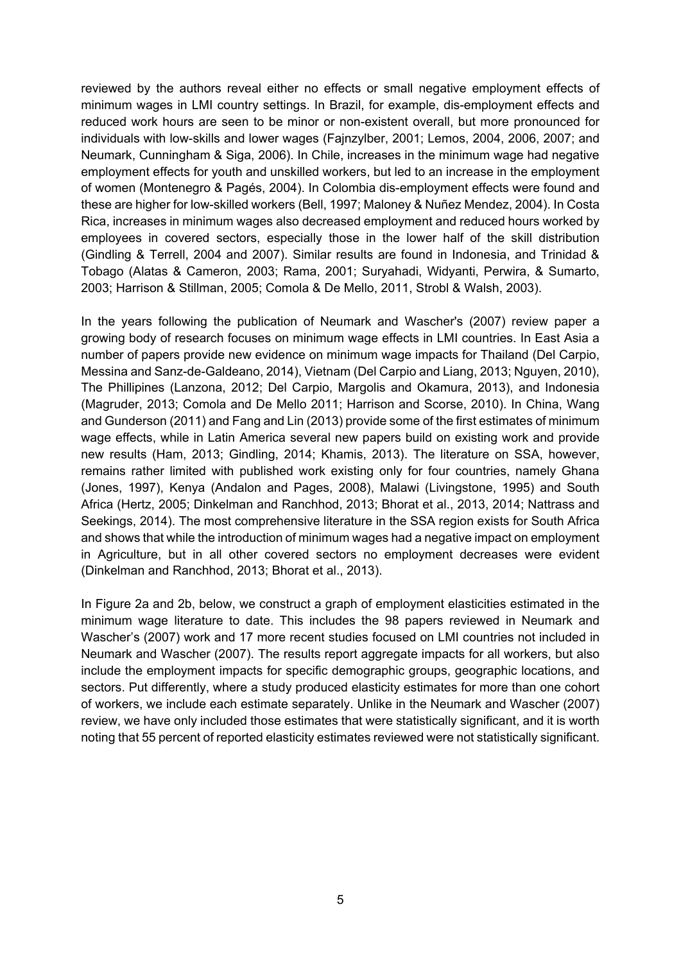reviewed by the authors reveal either no effects or small negative employment effects of minimum wages in LMI country settings. In Brazil, for example, dis-employment effects and reduced work hours are seen to be minor or non-existent overall, but more pronounced for individuals with low-skills and lower wages (Fajnzylber, 2001; Lemos, 2004, 2006, 2007; and Neumark, Cunningham & Siga, 2006). In Chile, increases in the minimum wage had negative employment effects for youth and unskilled workers, but led to an increase in the employment of women (Montenegro & Pagés, 2004). In Colombia dis-employment effects were found and these are higher for low-skilled workers (Bell, 1997; Maloney & Nuñez Mendez, 2004). In Costa Rica, increases in minimum wages also decreased employment and reduced hours worked by employees in covered sectors, especially those in the lower half of the skill distribution (Gindling & Terrell, 2004 and 2007). Similar results are found in Indonesia, and Trinidad & Tobago (Alatas & Cameron, 2003; Rama, 2001; Suryahadi, Widyanti, Perwira, & Sumarto, 2003; Harrison & Stillman, 2005; Comola & De Mello, 2011, Strobl & Walsh, 2003).

In the years following the publication of Neumark and Wascher's (2007) review paper a growing body of research focuses on minimum wage effects in LMI countries. In East Asia a number of papers provide new evidence on minimum wage impacts for Thailand (Del Carpio, Messina and Sanz-de-Galdeano, 2014), Vietnam (Del Carpio and Liang, 2013; Nguyen, 2010), The Phillipines (Lanzona, 2012; Del Carpio, Margolis and Okamura, 2013), and Indonesia (Magruder, 2013; Comola and De Mello 2011; Harrison and Scorse, 2010). In China, Wang and Gunderson (2011) and Fang and Lin (2013) provide some of the first estimates of minimum wage effects, while in Latin America several new papers build on existing work and provide new results (Ham, 2013; Gindling, 2014; Khamis, 2013). The literature on SSA, however, remains rather limited with published work existing only for four countries, namely Ghana (Jones, 1997), Kenya (Andalon and Pages, 2008), Malawi (Livingstone, 1995) and South Africa (Hertz, 2005; Dinkelman and Ranchhod, 2013; Bhorat et al., 2013, 2014; Nattrass and Seekings, 2014). The most comprehensive literature in the SSA region exists for South Africa and shows that while the introduction of minimum wages had a negative impact on employment in Agriculture, but in all other covered sectors no employment decreases were evident (Dinkelman and Ranchhod, 2013; Bhorat et al., 2013).

In Figure 2a and 2b, below, we construct a graph of employment elasticities estimated in the minimum wage literature to date. This includes the 98 papers reviewed in Neumark and Wascher's (2007) work and 17 more recent studies focused on LMI countries not included in Neumark and Wascher (2007). The results report aggregate impacts for all workers, but also include the employment impacts for specific demographic groups, geographic locations, and sectors. Put differently, where a study produced elasticity estimates for more than one cohort of workers, we include each estimate separately. Unlike in the Neumark and Wascher (2007) review, we have only included those estimates that were statistically significant, and it is worth noting that 55 percent of reported elasticity estimates reviewed were not statistically significant.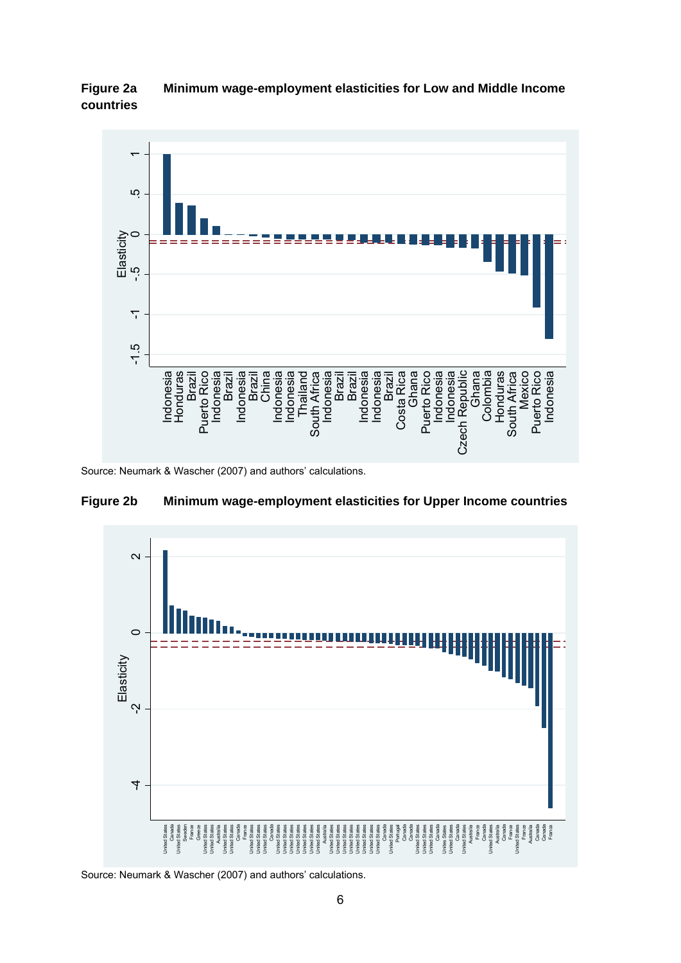



Source: Neumark & Wascher (2007) and authors' calculations.



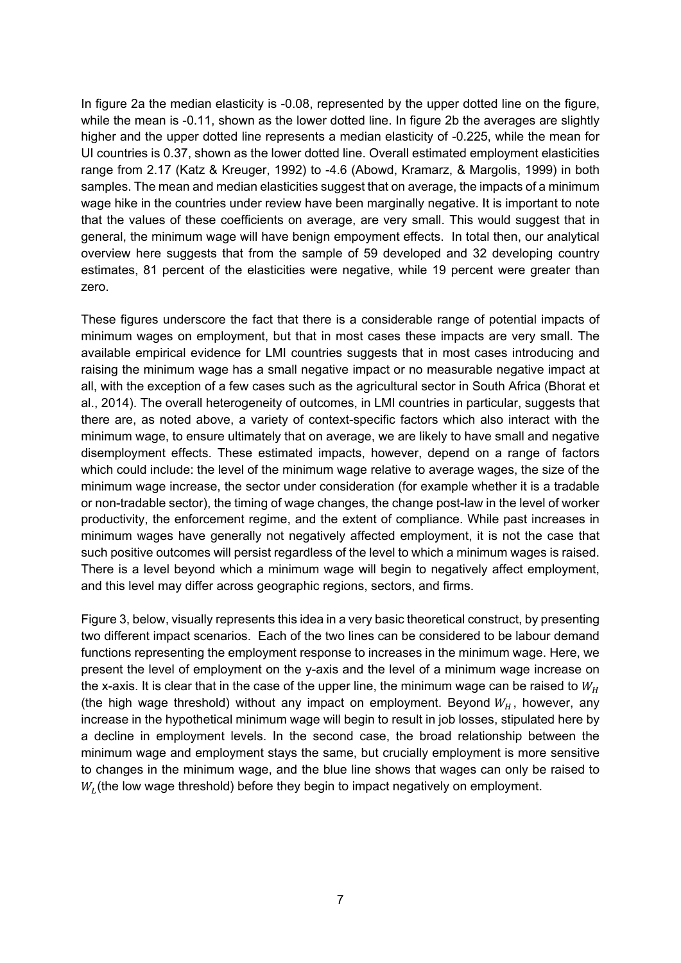In figure 2a the median elasticity is -0.08, represented by the upper dotted line on the figure, while the mean is -0.11, shown as the lower dotted line. In figure 2b the averages are slightly higher and the upper dotted line represents a median elasticity of -0.225, while the mean for UI countries is 0.37, shown as the lower dotted line. Overall estimated employment elasticities range from 2.17 (Katz & Kreuger, 1992) to -4.6 (Abowd, Kramarz, & Margolis, 1999) in both samples. The mean and median elasticities suggest that on average, the impacts of a minimum wage hike in the countries under review have been marginally negative. It is important to note that the values of these coefficients on average, are very small. This would suggest that in general, the minimum wage will have benign empoyment effects. In total then, our analytical overview here suggests that from the sample of 59 developed and 32 developing country estimates, 81 percent of the elasticities were negative, while 19 percent were greater than zero.

These figures underscore the fact that there is a considerable range of potential impacts of minimum wages on employment, but that in most cases these impacts are very small. The available empirical evidence for LMI countries suggests that in most cases introducing and raising the minimum wage has a small negative impact or no measurable negative impact at all, with the exception of a few cases such as the agricultural sector in South Africa (Bhorat et al., 2014). The overall heterogeneity of outcomes, in LMI countries in particular, suggests that there are, as noted above, a variety of context-specific factors which also interact with the minimum wage, to ensure ultimately that on average, we are likely to have small and negative disemployment effects. These estimated impacts, however, depend on a range of factors which could include: the level of the minimum wage relative to average wages, the size of the minimum wage increase, the sector under consideration (for example whether it is a tradable or non-tradable sector), the timing of wage changes, the change post-law in the level of worker productivity, the enforcement regime, and the extent of compliance. While past increases in minimum wages have generally not negatively affected employment, it is not the case that such positive outcomes will persist regardless of the level to which a minimum wages is raised. There is a level beyond which a minimum wage will begin to negatively affect employment, and this level may differ across geographic regions, sectors, and firms.

Figure 3, below, visually represents this idea in a very basic theoretical construct, by presenting two different impact scenarios. Each of the two lines can be considered to be labour demand functions representing the employment response to increases in the minimum wage. Here, we present the level of employment on the y-axis and the level of a minimum wage increase on the x-axis. It is clear that in the case of the upper line, the minimum wage can be raised to  $W_H$ (the high wage threshold) without any impact on employment. Beyond  $W_H$ , however, any increase in the hypothetical minimum wage will begin to result in job losses, stipulated here by a decline in employment levels. In the second case, the broad relationship between the minimum wage and employment stays the same, but crucially employment is more sensitive to changes in the minimum wage, and the blue line shows that wages can only be raised to  $W_I$ (the low wage threshold) before they begin to impact negatively on employment.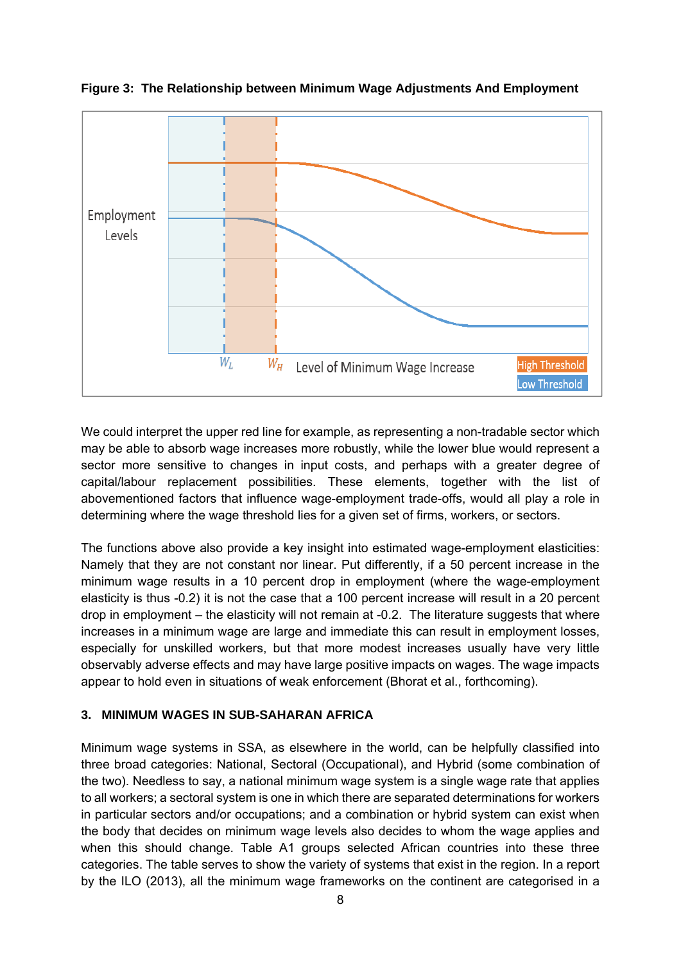

**Figure 3: The Relationship between Minimum Wage Adjustments And Employment** 

We could interpret the upper red line for example, as representing a non-tradable sector which may be able to absorb wage increases more robustly, while the lower blue would represent a sector more sensitive to changes in input costs, and perhaps with a greater degree of capital/labour replacement possibilities. These elements, together with the list of abovementioned factors that influence wage-employment trade-offs, would all play a role in determining where the wage threshold lies for a given set of firms, workers, or sectors.

The functions above also provide a key insight into estimated wage-employment elasticities: Namely that they are not constant nor linear. Put differently, if a 50 percent increase in the minimum wage results in a 10 percent drop in employment (where the wage-employment elasticity is thus -0.2) it is not the case that a 100 percent increase will result in a 20 percent drop in employment – the elasticity will not remain at -0.2. The literature suggests that where increases in a minimum wage are large and immediate this can result in employment losses, especially for unskilled workers, but that more modest increases usually have very little observably adverse effects and may have large positive impacts on wages. The wage impacts appear to hold even in situations of weak enforcement (Bhorat et al., forthcoming).

#### **3. MINIMUM WAGES IN SUB-SAHARAN AFRICA**

Minimum wage systems in SSA, as elsewhere in the world, can be helpfully classified into three broad categories: National, Sectoral (Occupational), and Hybrid (some combination of the two). Needless to say, a national minimum wage system is a single wage rate that applies to all workers; a sectoral system is one in which there are separated determinations for workers in particular sectors and/or occupations; and a combination or hybrid system can exist when the body that decides on minimum wage levels also decides to whom the wage applies and when this should change. Table A1 groups selected African countries into these three categories. The table serves to show the variety of systems that exist in the region. In a report by the ILO (2013), all the minimum wage frameworks on the continent are categorised in a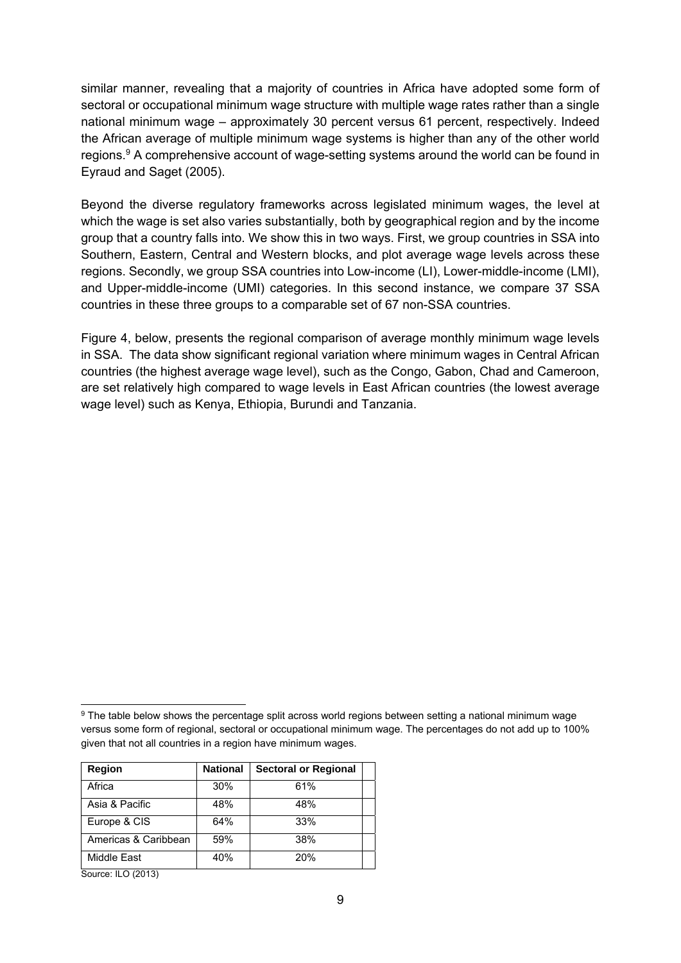similar manner, revealing that a majority of countries in Africa have adopted some form of sectoral or occupational minimum wage structure with multiple wage rates rather than a single national minimum wage – approximately 30 percent versus 61 percent, respectively. Indeed the African average of multiple minimum wage systems is higher than any of the other world regions.9 A comprehensive account of wage-setting systems around the world can be found in Eyraud and Saget (2005).

Beyond the diverse regulatory frameworks across legislated minimum wages, the level at which the wage is set also varies substantially, both by geographical region and by the income group that a country falls into. We show this in two ways. First, we group countries in SSA into Southern, Eastern, Central and Western blocks, and plot average wage levels across these regions. Secondly, we group SSA countries into Low-income (LI), Lower-middle-income (LMI), and Upper-middle-income (UMI) categories. In this second instance, we compare 37 SSA countries in these three groups to a comparable set of 67 non-SSA countries.

Figure 4, below, presents the regional comparison of average monthly minimum wage levels in SSA. The data show significant regional variation where minimum wages in Central African countries (the highest average wage level), such as the Congo, Gabon, Chad and Cameroon, are set relatively high compared to wage levels in East African countries (the lowest average wage level) such as Kenya, Ethiopia, Burundi and Tanzania.

<sup>&</sup>lt;sup>9</sup> The table below shows the percentage split across world regions between setting a national minimum wage versus some form of regional, sectoral or occupational minimum wage. The percentages do not add up to 100% given that not all countries in a region have minimum wages.

| Region                                  | <b>National</b> | <b>Sectoral or Regional</b> |  |  |  |
|-----------------------------------------|-----------------|-----------------------------|--|--|--|
| Africa                                  | 30%             | 61%                         |  |  |  |
| Asia & Pacific                          | 48%             | 48%                         |  |  |  |
| Europe & CIS                            | 64%             | 33%                         |  |  |  |
| Americas & Caribbean                    | 59%             | 38%                         |  |  |  |
| Middle East                             | 40%             | 20%                         |  |  |  |
| $C_{\text{outrow}}$ II $\bigcap$ (2012) |                 |                             |  |  |  |

Source: ILO (2013)

 $\overline{a}$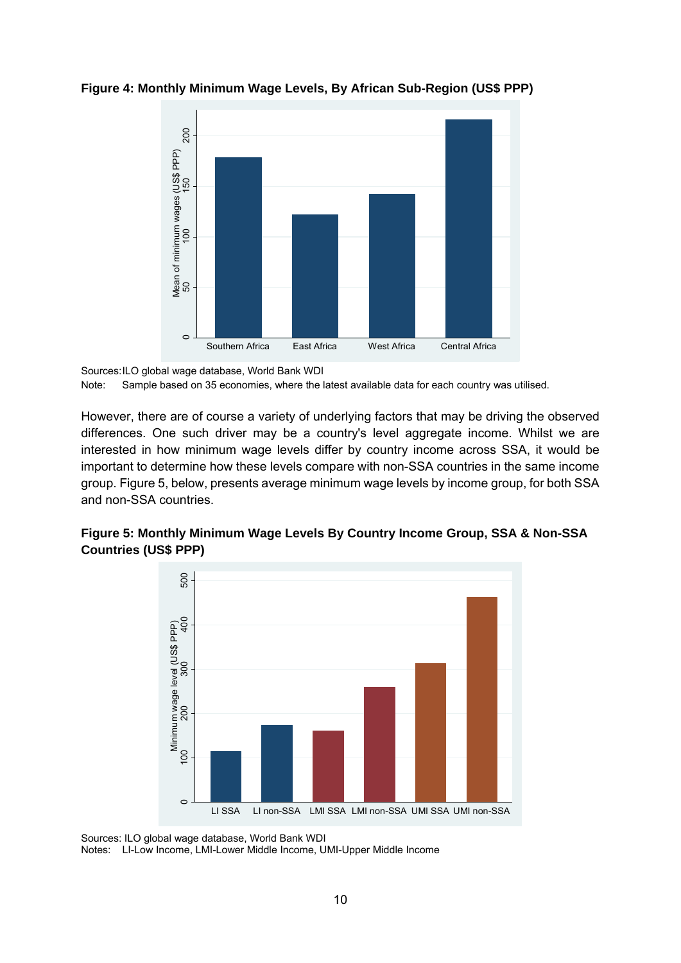

**Figure 4: Monthly Minimum Wage Levels, By African Sub-Region (US\$ PPP)** 

However, there are of course a variety of underlying factors that may be driving the observed differences. One such driver may be a country's level aggregate income. Whilst we are interested in how minimum wage levels differ by country income across SSA, it would be important to determine how these levels compare with non-SSA countries in the same income group. Figure 5, below, presents average minimum wage levels by income group, for both SSA and non-SSA countries.





Sources: ILO global wage database, World Bank WDI

Notes: LI-Low Income, LMI-Lower Middle Income, UMI-Upper Middle Income

Sources: ILO global wage database, World Bank WDI Note: Sample based on 35 economies, where the latest available data for each country was utilised.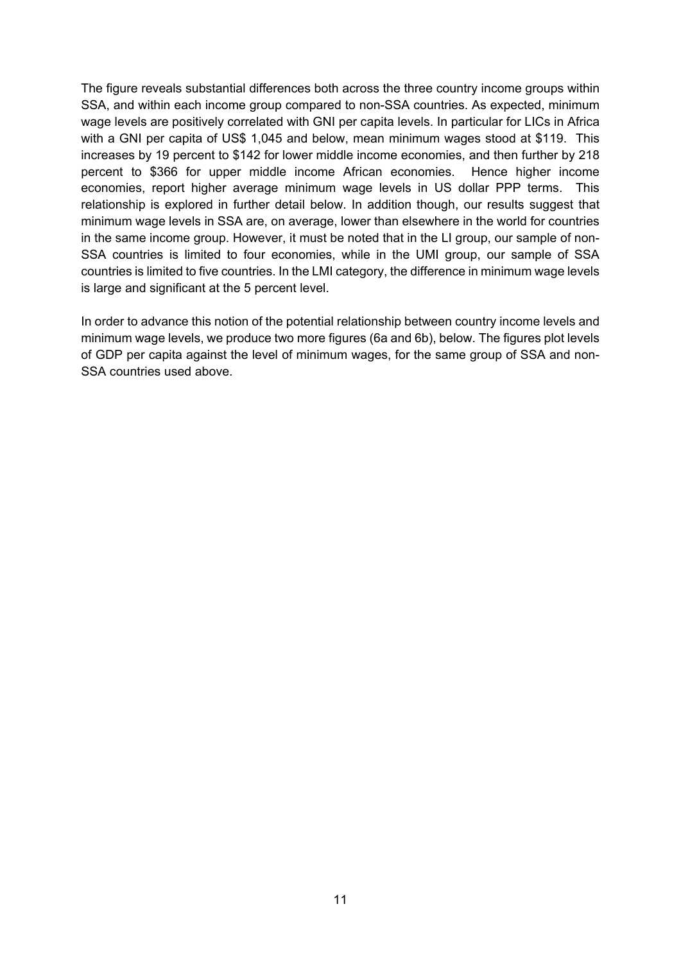The figure reveals substantial differences both across the three country income groups within SSA, and within each income group compared to non-SSA countries. As expected, minimum wage levels are positively correlated with GNI per capita levels. In particular for LICs in Africa with a GNI per capita of US\$ 1,045 and below, mean minimum wages stood at \$119. This increases by 19 percent to \$142 for lower middle income economies, and then further by 218 percent to \$366 for upper middle income African economies. Hence higher income economies, report higher average minimum wage levels in US dollar PPP terms. This relationship is explored in further detail below. In addition though, our results suggest that minimum wage levels in SSA are, on average, lower than elsewhere in the world for countries in the same income group. However, it must be noted that in the LI group, our sample of non-SSA countries is limited to four economies, while in the UMI group, our sample of SSA countries is limited to five countries. In the LMI category, the difference in minimum wage levels is large and significant at the 5 percent level.

In order to advance this notion of the potential relationship between country income levels and minimum wage levels, we produce two more figures (6a and 6b), below. The figures plot levels of GDP per capita against the level of minimum wages, for the same group of SSA and non-SSA countries used above.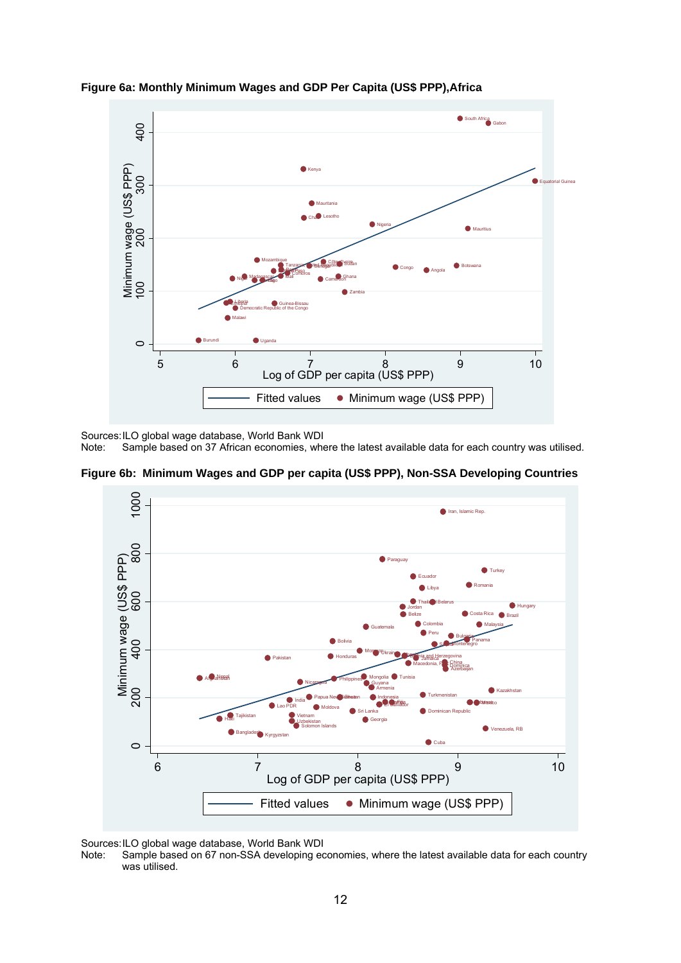

**Figure 6a: Monthly Minimum Wages and GDP Per Capita (US\$ PPP),Africa** 

Sources: ILO global wage database, World Bank WDI

Sample based on 37 African economies, where the latest available data for each country was utilised.





Sources: ILO global wage database, World Bank WDI<br>Note: Sample based on 67 non-SSA developing ed

Sample based on 67 non-SSA developing economies, where the latest available data for each country was utilised.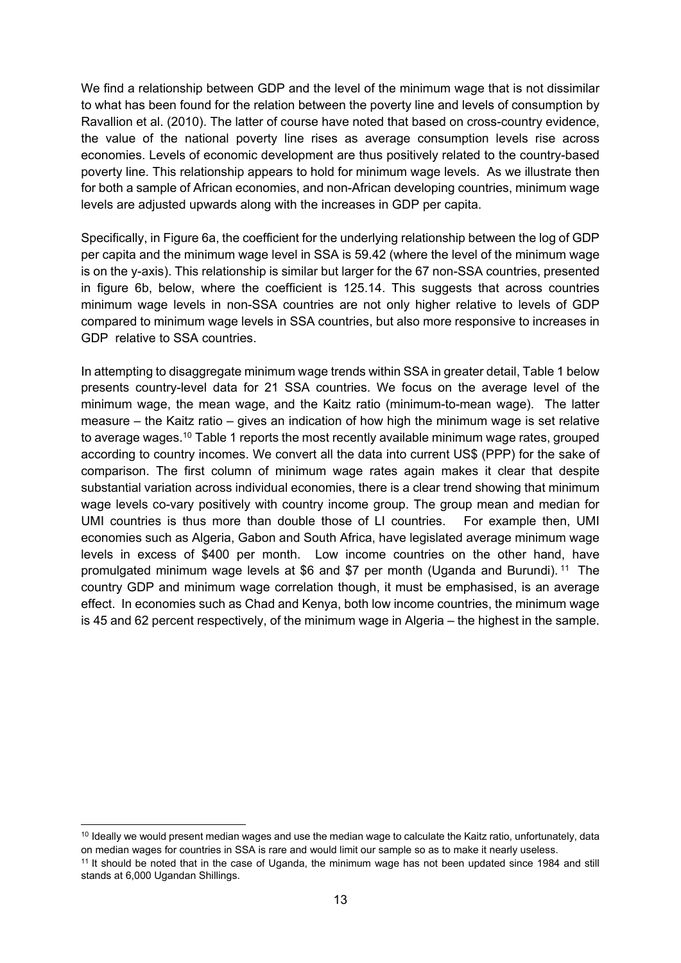We find a relationship between GDP and the level of the minimum wage that is not dissimilar to what has been found for the relation between the poverty line and levels of consumption by Ravallion et al. (2010). The latter of course have noted that based on cross-country evidence, the value of the national poverty line rises as average consumption levels rise across economies. Levels of economic development are thus positively related to the country-based poverty line. This relationship appears to hold for minimum wage levels. As we illustrate then for both a sample of African economies, and non-African developing countries, minimum wage levels are adjusted upwards along with the increases in GDP per capita.

Specifically, in Figure 6a, the coefficient for the underlying relationship between the log of GDP per capita and the minimum wage level in SSA is 59.42 (where the level of the minimum wage is on the y-axis). This relationship is similar but larger for the 67 non-SSA countries, presented in figure 6b, below, where the coefficient is 125.14. This suggests that across countries minimum wage levels in non-SSA countries are not only higher relative to levels of GDP compared to minimum wage levels in SSA countries, but also more responsive to increases in GDP relative to SSA countries.

In attempting to disaggregate minimum wage trends within SSA in greater detail, Table 1 below presents country-level data for 21 SSA countries. We focus on the average level of the minimum wage, the mean wage, and the Kaitz ratio (minimum-to-mean wage). The latter measure – the Kaitz ratio – gives an indication of how high the minimum wage is set relative to average wages.10 Table 1 reports the most recently available minimum wage rates, grouped according to country incomes. We convert all the data into current US\$ (PPP) for the sake of comparison. The first column of minimum wage rates again makes it clear that despite substantial variation across individual economies, there is a clear trend showing that minimum wage levels co-vary positively with country income group. The group mean and median for UMI countries is thus more than double those of LI countries. For example then, UMI economies such as Algeria, Gabon and South Africa, have legislated average minimum wage levels in excess of \$400 per month. Low income countries on the other hand, have promulgated minimum wage levels at \$6 and \$7 per month (Uganda and Burundi). 11 The country GDP and minimum wage correlation though, it must be emphasised, is an average effect. In economies such as Chad and Kenya, both low income countries, the minimum wage is 45 and 62 percent respectively, of the minimum wage in Algeria – the highest in the sample.

 $\overline{a}$ 

<sup>&</sup>lt;sup>10</sup> Ideally we would present median wages and use the median wage to calculate the Kaitz ratio, unfortunately, data on median wages for countries in SSA is rare and would limit our sample so as to make it nearly useless.<br><sup>11</sup> It should be noted that in the case of Uganda, the minimum wage has not been updated since 1984 and still

stands at 6,000 Ugandan Shillings.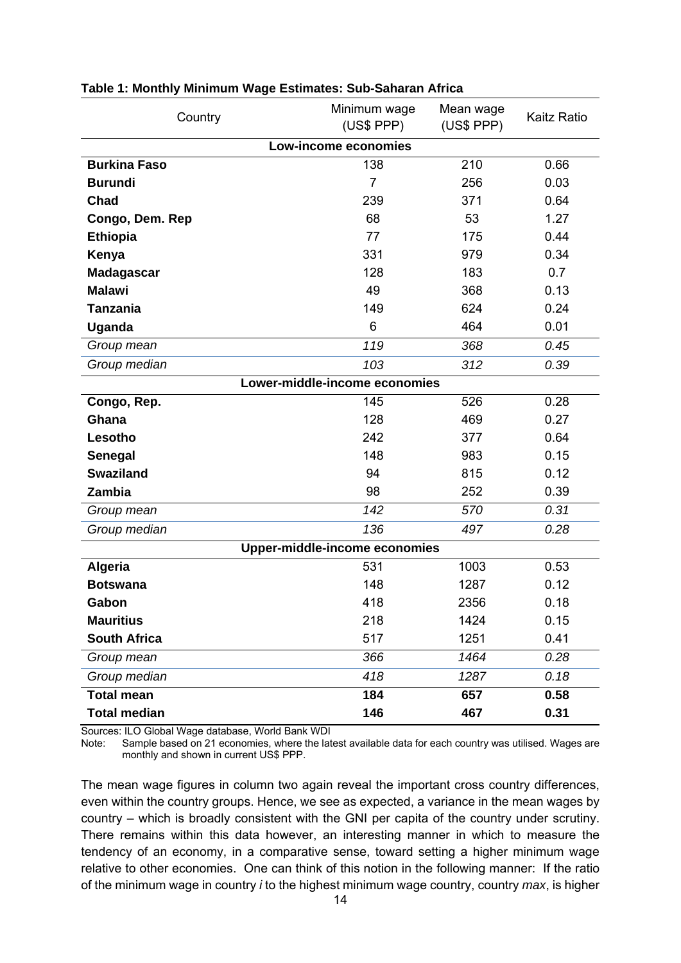| Country             | Minimum wage<br>(US\$ PPP)    | Mean wage<br>(US\$ PPP) | <b>Kaitz Ratio</b> |
|---------------------|-------------------------------|-------------------------|--------------------|
|                     | Low-income economies          |                         |                    |
| <b>Burkina Faso</b> | 138                           | 210                     | 0.66               |
| <b>Burundi</b>      | $\overline{7}$                | 256                     | 0.03               |
| Chad                | 239                           | 371                     | 0.64               |
| Congo, Dem. Rep     | 68                            | 53                      | 1.27               |
| <b>Ethiopia</b>     | 77                            | 175                     | 0.44               |
| Kenya               | 331                           | 979                     | 0.34               |
| <b>Madagascar</b>   | 128                           | 183                     | 0.7                |
| <b>Malawi</b>       | 49                            | 368                     | 0.13               |
| <b>Tanzania</b>     | 149                           | 624                     | 0.24               |
| Uganda              | 6                             | 464                     | 0.01               |
| Group mean          | 119                           | 368                     | 0.45               |
| Group median        | 103                           | 312                     | 0.39               |
|                     | Lower-middle-income economies |                         |                    |
| Congo, Rep.         | 145                           | 526                     | 0.28               |
| Ghana               | 128                           | 469                     | 0.27               |
| Lesotho             | 242                           | 377                     | 0.64               |
| Senegal             | 148                           | 983                     | 0.15               |
| <b>Swaziland</b>    | 94                            | 815                     | 0.12               |
| Zambia              | 98                            | 252                     | 0.39               |
| Group mean          | 142                           | 570                     | 0.31               |
| Group median        | 136                           | 497                     | 0.28               |
|                     | Upper-middle-income economies |                         |                    |
| <b>Algeria</b>      | 531                           | 1003                    | 0.53               |
| <b>Botswana</b>     | 148                           | 1287                    | 0.12               |
| Gabon               | 418                           | 2356                    | 0.18               |
| <b>Mauritius</b>    | 218                           | 1424                    | 0.15               |
| <b>South Africa</b> | 517                           | 1251                    | 0.41               |
| Group mean          | 366                           | 1464                    | 0.28               |
| Group median        | 418                           | 1287                    | 0.18               |
| <b>Total mean</b>   | 184                           | 657                     | 0.58               |
| <b>Total median</b> | 146                           | 467                     | 0.31               |

#### **Table 1: Monthly Minimum Wage Estimates: Sub-Saharan Africa**

Sources: ILO Global Wage database, World Bank WDI<br>Note: Sample based on 21 economies, where the late

Sample based on 21 economies, where the latest available data for each country was utilised. Wages are monthly and shown in current US\$ PPP.

The mean wage figures in column two again reveal the important cross country differences, even within the country groups. Hence, we see as expected, a variance in the mean wages by country – which is broadly consistent with the GNI per capita of the country under scrutiny. There remains within this data however, an interesting manner in which to measure the tendency of an economy, in a comparative sense, toward setting a higher minimum wage relative to other economies. One can think of this notion in the following manner: If the ratio of the minimum wage in country *i* to the highest minimum wage country, country *max*, is higher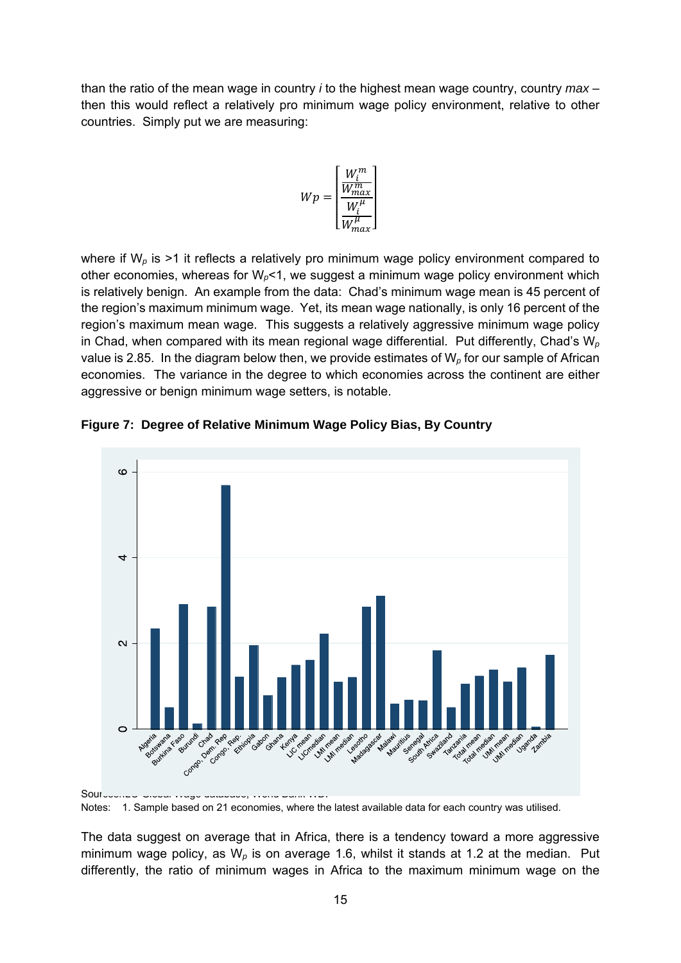than the ratio of the mean wage in country *i* to the highest mean wage country, country *max* – then this would reflect a relatively pro minimum wage policy environment, relative to other countries. Simply put we are measuring:

$$
Wp = \begin{bmatrix} \frac{W_l^m}{W_{max}^m} \\ \frac{W_l^{\mu}}{W_{max}^{\mu}} \end{bmatrix}
$$

where if W<sub>p</sub> is >1 it reflects a relatively pro minimum wage policy environment compared to other economies, whereas for W*p*<1, we suggest a minimum wage policy environment which is relatively benign. An example from the data: Chad's minimum wage mean is 45 percent of the region's maximum minimum wage. Yet, its mean wage nationally, is only 16 percent of the region's maximum mean wage. This suggests a relatively aggressive minimum wage policy in Chad, when compared with its mean regional wage differential. Put differently, Chad's W*<sup>p</sup>* value is 2.85. In the diagram below then, we provide estimates of W*p* for our sample of African economies. The variance in the degree to which economies across the continent are either aggressive or benign minimum wage setters, is notable.



**Figure 7: Degree of Relative Minimum Wage Policy Bias, By Country** 

Notes: 1. Sample based on 21 economies, where the latest available data for each country was utilised.

The data suggest on average that in Africa, there is a tendency toward a more aggressive minimum wage policy, as W*p* is on average 1.6, whilst it stands at 1.2 at the median. Put differently, the ratio of minimum wages in Africa to the maximum minimum wage on the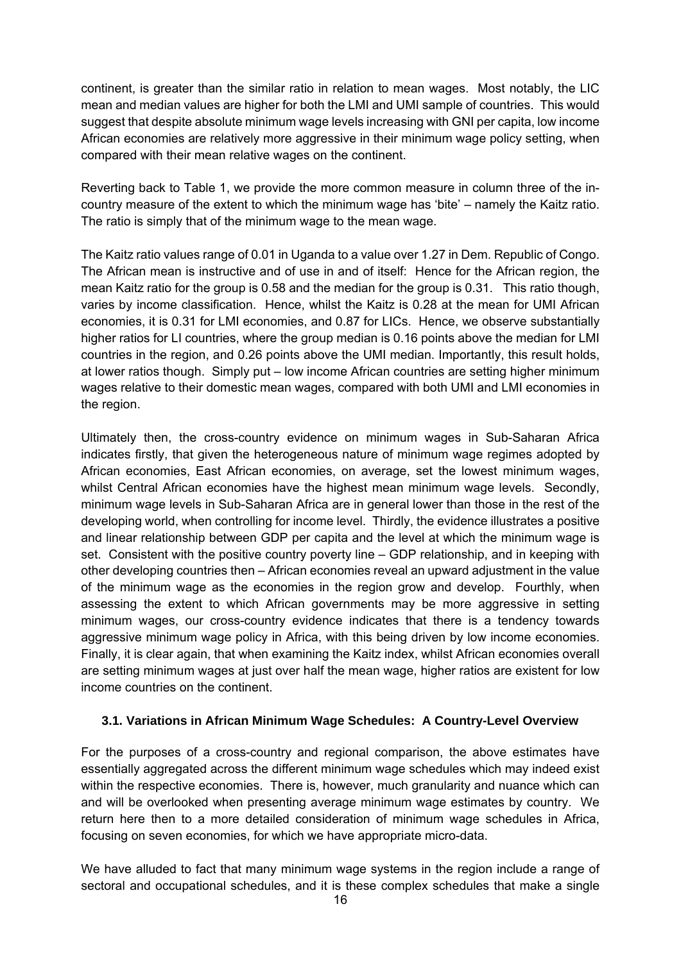continent, is greater than the similar ratio in relation to mean wages. Most notably, the LIC mean and median values are higher for both the LMI and UMI sample of countries. This would suggest that despite absolute minimum wage levels increasing with GNI per capita, low income African economies are relatively more aggressive in their minimum wage policy setting, when compared with their mean relative wages on the continent.

Reverting back to Table 1, we provide the more common measure in column three of the incountry measure of the extent to which the minimum wage has 'bite' – namely the Kaitz ratio. The ratio is simply that of the minimum wage to the mean wage.

The Kaitz ratio values range of 0.01 in Uganda to a value over 1.27 in Dem. Republic of Congo. The African mean is instructive and of use in and of itself: Hence for the African region, the mean Kaitz ratio for the group is 0.58 and the median for the group is 0.31. This ratio though, varies by income classification. Hence, whilst the Kaitz is 0.28 at the mean for UMI African economies, it is 0.31 for LMI economies, and 0.87 for LICs. Hence, we observe substantially higher ratios for LI countries, where the group median is 0.16 points above the median for LMI countries in the region, and 0.26 points above the UMI median. Importantly, this result holds, at lower ratios though. Simply put – low income African countries are setting higher minimum wages relative to their domestic mean wages, compared with both UMI and LMI economies in the region.

Ultimately then, the cross-country evidence on minimum wages in Sub-Saharan Africa indicates firstly, that given the heterogeneous nature of minimum wage regimes adopted by African economies, East African economies, on average, set the lowest minimum wages, whilst Central African economies have the highest mean minimum wage levels. Secondly, minimum wage levels in Sub-Saharan Africa are in general lower than those in the rest of the developing world, when controlling for income level. Thirdly, the evidence illustrates a positive and linear relationship between GDP per capita and the level at which the minimum wage is set. Consistent with the positive country poverty line – GDP relationship, and in keeping with other developing countries then – African economies reveal an upward adjustment in the value of the minimum wage as the economies in the region grow and develop. Fourthly, when assessing the extent to which African governments may be more aggressive in setting minimum wages, our cross-country evidence indicates that there is a tendency towards aggressive minimum wage policy in Africa, with this being driven by low income economies. Finally, it is clear again, that when examining the Kaitz index, whilst African economies overall are setting minimum wages at just over half the mean wage, higher ratios are existent for low income countries on the continent.

#### **3.1. Variations in African Minimum Wage Schedules: A Country-Level Overview**

For the purposes of a cross-country and regional comparison, the above estimates have essentially aggregated across the different minimum wage schedules which may indeed exist within the respective economies. There is, however, much granularity and nuance which can and will be overlooked when presenting average minimum wage estimates by country. We return here then to a more detailed consideration of minimum wage schedules in Africa, focusing on seven economies, for which we have appropriate micro-data.

We have alluded to fact that many minimum wage systems in the region include a range of sectoral and occupational schedules, and it is these complex schedules that make a single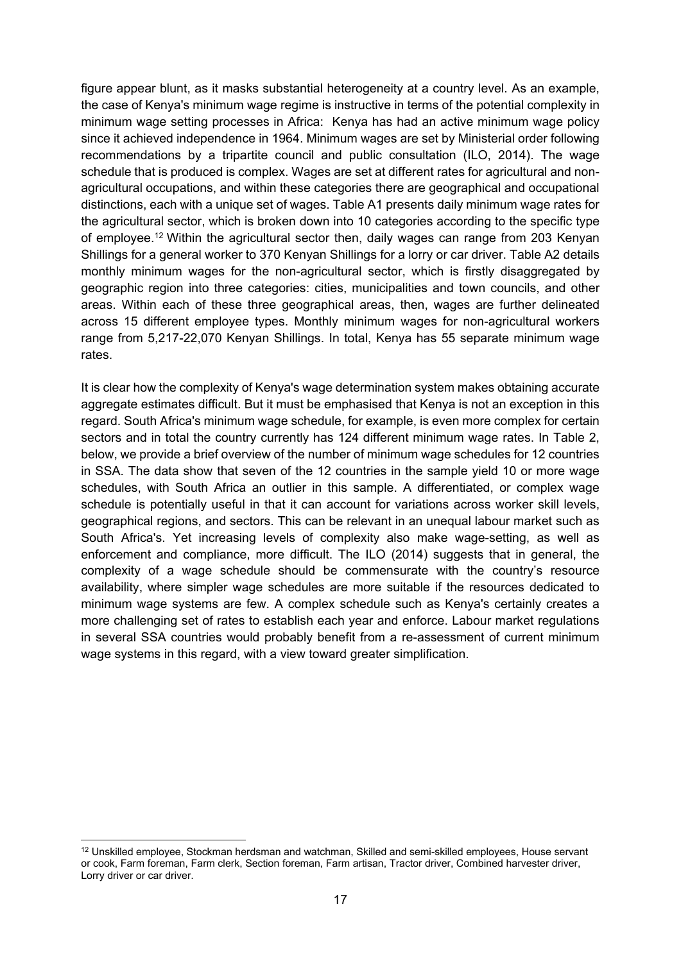figure appear blunt, as it masks substantial heterogeneity at a country level. As an example, the case of Kenya's minimum wage regime is instructive in terms of the potential complexity in minimum wage setting processes in Africa: Kenya has had an active minimum wage policy since it achieved independence in 1964. Minimum wages are set by Ministerial order following recommendations by a tripartite council and public consultation (ILO, 2014). The wage schedule that is produced is complex. Wages are set at different rates for agricultural and nonagricultural occupations, and within these categories there are geographical and occupational distinctions, each with a unique set of wages. Table A1 presents daily minimum wage rates for the agricultural sector, which is broken down into 10 categories according to the specific type of employee.12 Within the agricultural sector then, daily wages can range from 203 Kenyan Shillings for a general worker to 370 Kenyan Shillings for a lorry or car driver. Table A2 details monthly minimum wages for the non-agricultural sector, which is firstly disaggregated by geographic region into three categories: cities, municipalities and town councils, and other areas. Within each of these three geographical areas, then, wages are further delineated across 15 different employee types. Monthly minimum wages for non-agricultural workers range from 5,217-22,070 Kenyan Shillings. In total, Kenya has 55 separate minimum wage rates.

It is clear how the complexity of Kenya's wage determination system makes obtaining accurate aggregate estimates difficult. But it must be emphasised that Kenya is not an exception in this regard. South Africa's minimum wage schedule, for example, is even more complex for certain sectors and in total the country currently has 124 different minimum wage rates. In Table 2, below, we provide a brief overview of the number of minimum wage schedules for 12 countries in SSA. The data show that seven of the 12 countries in the sample yield 10 or more wage schedules, with South Africa an outlier in this sample. A differentiated, or complex wage schedule is potentially useful in that it can account for variations across worker skill levels, geographical regions, and sectors. This can be relevant in an unequal labour market such as South Africa's. Yet increasing levels of complexity also make wage-setting, as well as enforcement and compliance, more difficult. The ILO (2014) suggests that in general, the complexity of a wage schedule should be commensurate with the country's resource availability, where simpler wage schedules are more suitable if the resources dedicated to minimum wage systems are few. A complex schedule such as Kenya's certainly creates a more challenging set of rates to establish each year and enforce. Labour market regulations in several SSA countries would probably benefit from a re-assessment of current minimum wage systems in this regard, with a view toward greater simplification.

<sup>-</sup><sup>12</sup> Unskilled employee, Stockman herdsman and watchman, Skilled and semi-skilled employees, House servant or cook, Farm foreman, Farm clerk, Section foreman, Farm artisan, Tractor driver, Combined harvester driver, Lorry driver or car driver.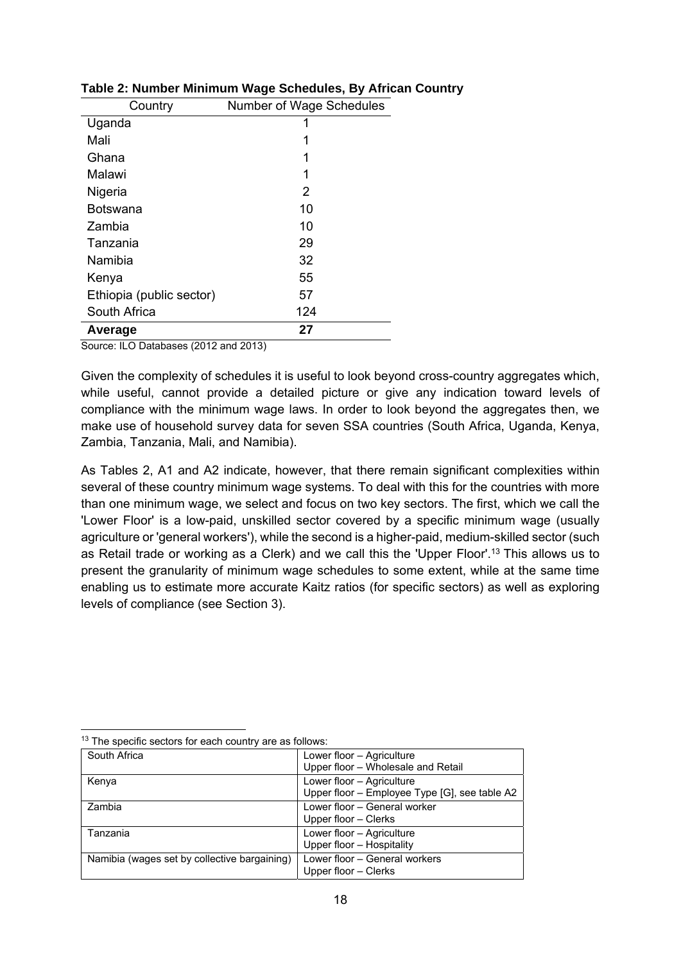| Country                  | Number of Wage Schedules |
|--------------------------|--------------------------|
| Uganda                   | 1                        |
| Mali                     | 1                        |
| Ghana                    | 1                        |
| Malawi                   | 1                        |
| Nigeria                  | 2                        |
| Botswana                 | 10                       |
| Zambia                   | 10                       |
| Tanzania                 | 29                       |
| Namibia                  | 32                       |
| Kenya                    | 55                       |
| Ethiopia (public sector) | 57                       |
| South Africa             | 124                      |
| Average                  | 27                       |

#### **Table 2: Number Minimum Wage Schedules, By African Country**

Source: ILO Databases (2012 and 2013)

Given the complexity of schedules it is useful to look beyond cross-country aggregates which, while useful, cannot provide a detailed picture or give any indication toward levels of compliance with the minimum wage laws. In order to look beyond the aggregates then, we make use of household survey data for seven SSA countries (South Africa, Uganda, Kenya, Zambia, Tanzania, Mali, and Namibia).

As Tables 2, A1 and A2 indicate, however, that there remain significant complexities within several of these country minimum wage systems. To deal with this for the countries with more than one minimum wage, we select and focus on two key sectors. The first, which we call the 'Lower Floor' is a low-paid, unskilled sector covered by a specific minimum wage (usually agriculture or 'general workers'), while the second is a higher-paid, medium-skilled sector (such as Retail trade or working as a Clerk) and we call this the 'Upper Floor'.13 This allows us to present the granularity of minimum wage schedules to some extent, while at the same time enabling us to estimate more accurate Kaitz ratios (for specific sectors) as well as exploring levels of compliance (see Section 3).

| Lower floor - Agriculture                     |
|-----------------------------------------------|
| Upper floor - Wholesale and Retail            |
| Lower floor - Agriculture                     |
| Upper floor - Employee Type [G], see table A2 |
| Lower floor - General worker                  |
| Upper floor - Clerks                          |
| Lower floor - Agriculture                     |
| Upper floor - Hospitality                     |
| Lower floor - General workers                 |
| Upper floor - Clerks                          |
|                                               |

 $\overline{a}$ <sup>13</sup> The specific sectors for each country are as follows: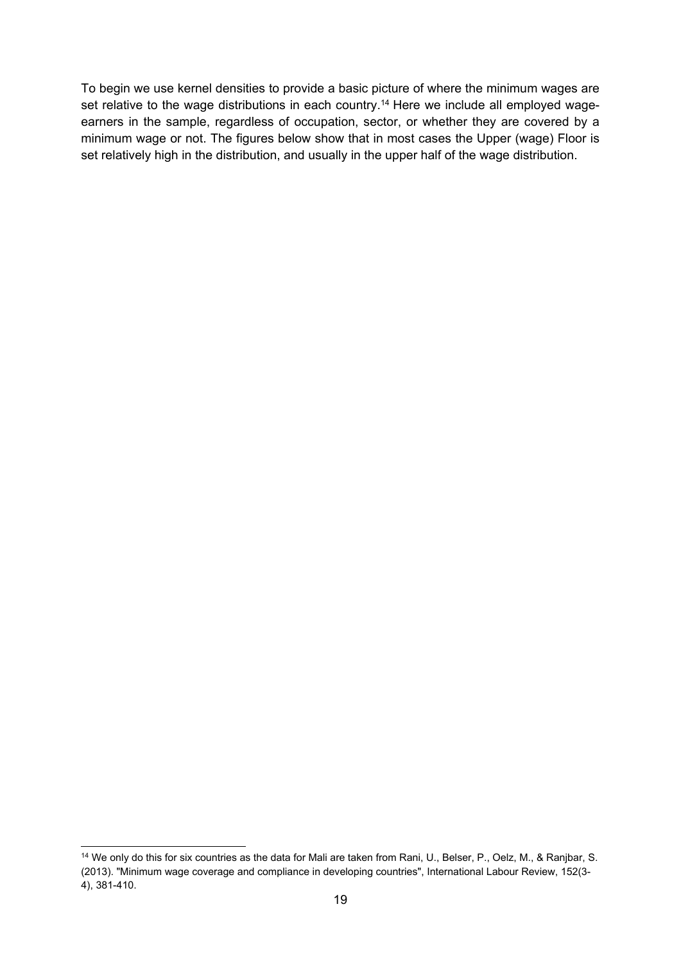To begin we use kernel densities to provide a basic picture of where the minimum wages are set relative to the wage distributions in each country.<sup>14</sup> Here we include all employed wageearners in the sample, regardless of occupation, sector, or whether they are covered by a minimum wage or not. The figures below show that in most cases the Upper (wage) Floor is set relatively high in the distribution, and usually in the upper half of the wage distribution.

 $\overline{a}$ <sup>14</sup> We only do this for six countries as the data for Mali are taken from Rani, U., Belser, P., Oelz, M., & Ranjbar, S. (2013). "Minimum wage coverage and compliance in developing countries", International Labour Review, 152(3- 4), 381-410.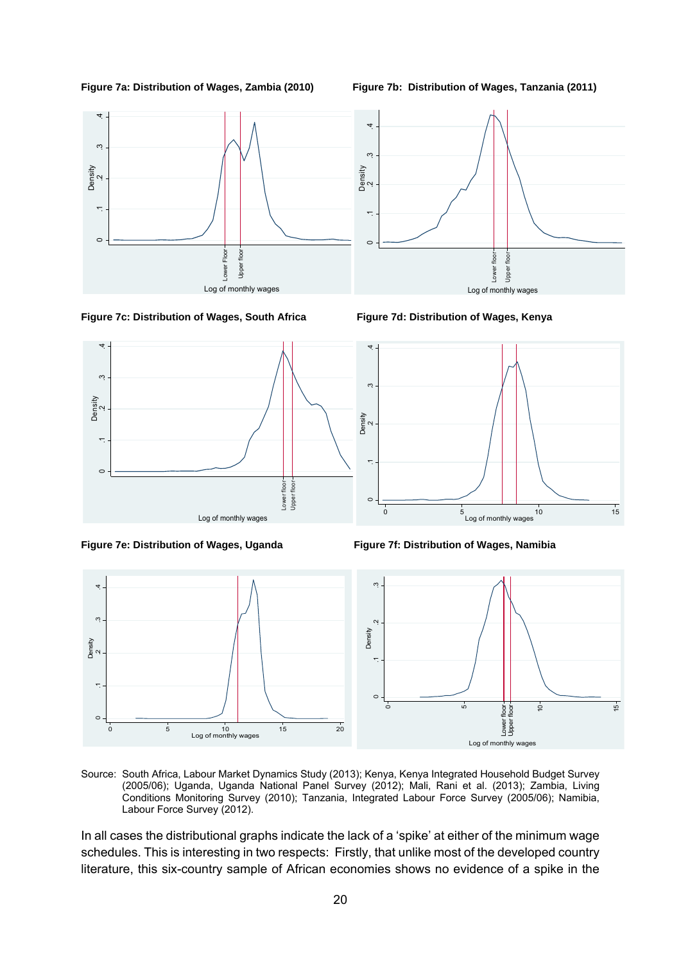



**Figure 7c: Distribution of Wages, South Africa Figure 7d: Distribution of Wages, Kenya** 





**Figure 7e: Distribution of Wages, Uganda Figure 7f: Distribution of Wages, Namibia** 



Source: South Africa, Labour Market Dynamics Study (2013); Kenya, Kenya Integrated Household Budget Survey (2005/06); Uganda, Uganda National Panel Survey (2012); Mali, Rani et al. (2013); Zambia, Living Conditions Monitoring Survey (2010); Tanzania, Integrated Labour Force Survey (2005/06); Namibia, Labour Force Survey (2012).

In all cases the distributional graphs indicate the lack of a 'spike' at either of the minimum wage schedules. This is interesting in two respects: Firstly, that unlike most of the developed country literature, this six-country sample of African economies shows no evidence of a spike in the



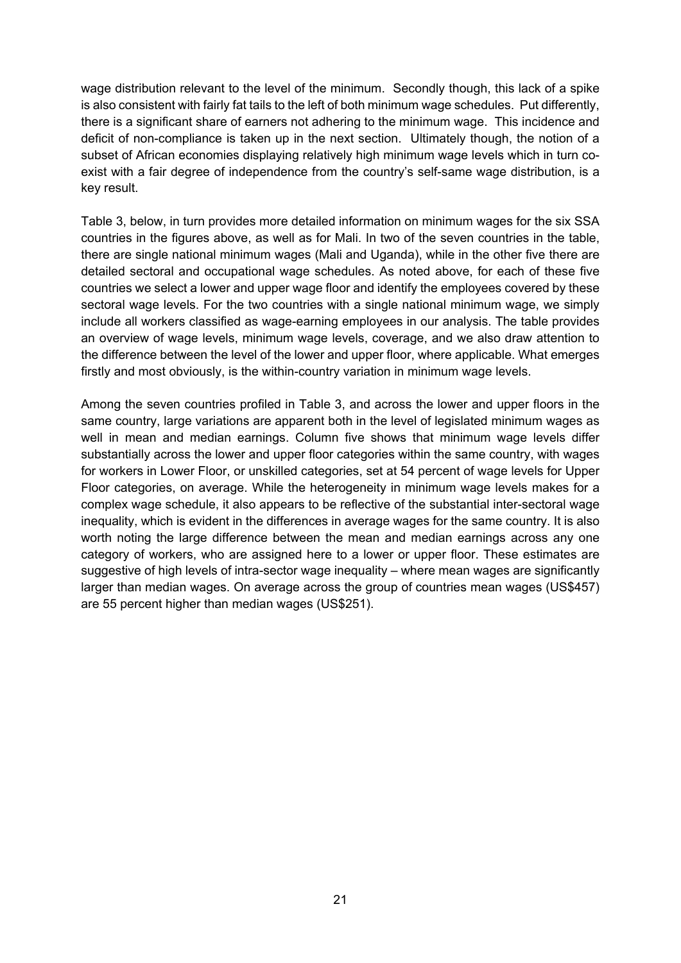wage distribution relevant to the level of the minimum. Secondly though, this lack of a spike is also consistent with fairly fat tails to the left of both minimum wage schedules. Put differently, there is a significant share of earners not adhering to the minimum wage. This incidence and deficit of non-compliance is taken up in the next section. Ultimately though, the notion of a subset of African economies displaying relatively high minimum wage levels which in turn coexist with a fair degree of independence from the country's self-same wage distribution, is a key result.

Table 3, below, in turn provides more detailed information on minimum wages for the six SSA countries in the figures above, as well as for Mali. In two of the seven countries in the table, there are single national minimum wages (Mali and Uganda), while in the other five there are detailed sectoral and occupational wage schedules. As noted above, for each of these five countries we select a lower and upper wage floor and identify the employees covered by these sectoral wage levels. For the two countries with a single national minimum wage, we simply include all workers classified as wage-earning employees in our analysis. The table provides an overview of wage levels, minimum wage levels, coverage, and we also draw attention to the difference between the level of the lower and upper floor, where applicable. What emerges firstly and most obviously, is the within-country variation in minimum wage levels.

Among the seven countries profiled in Table 3, and across the lower and upper floors in the same country, large variations are apparent both in the level of legislated minimum wages as well in mean and median earnings. Column five shows that minimum wage levels differ substantially across the lower and upper floor categories within the same country, with wages for workers in Lower Floor, or unskilled categories, set at 54 percent of wage levels for Upper Floor categories, on average. While the heterogeneity in minimum wage levels makes for a complex wage schedule, it also appears to be reflective of the substantial inter-sectoral wage inequality, which is evident in the differences in average wages for the same country. It is also worth noting the large difference between the mean and median earnings across any one category of workers, who are assigned here to a lower or upper floor. These estimates are suggestive of high levels of intra-sector wage inequality – where mean wages are significantly larger than median wages. On average across the group of countries mean wages (US\$457) are 55 percent higher than median wages (US\$251).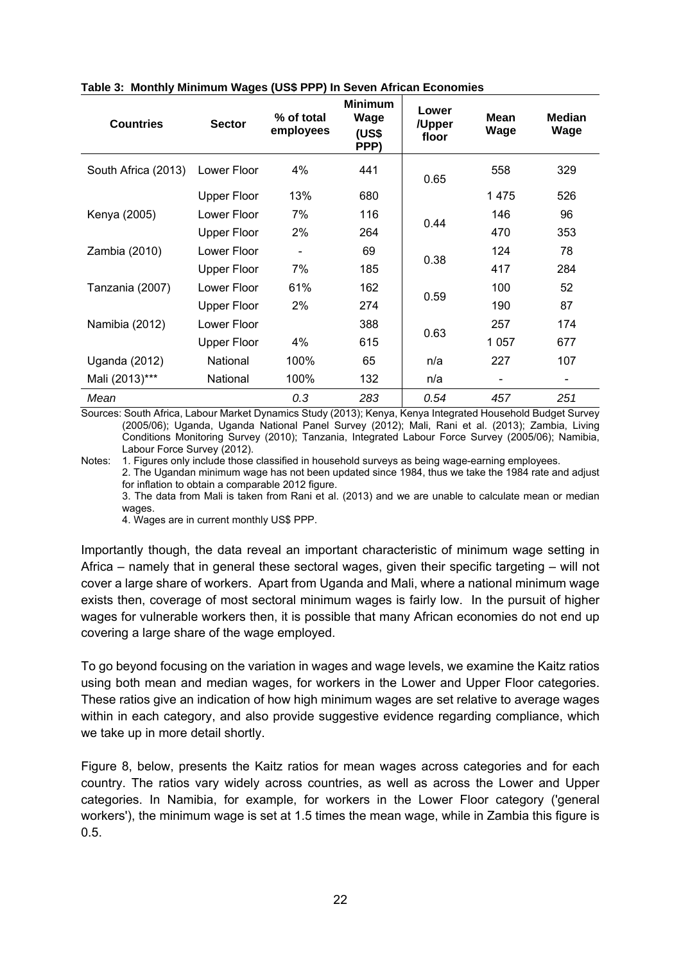| <b>Countries</b>    | <b>Sector</b>      | % of total<br>employees | <b>Minimum</b><br>Wage<br>(US\$<br>PPP) | Lower<br>/Upper<br>floor | Mean<br>Wage | <b>Median</b><br>Wage |
|---------------------|--------------------|-------------------------|-----------------------------------------|--------------------------|--------------|-----------------------|
| South Africa (2013) | Lower Floor        | 4%                      | 441                                     | 0.65                     | 558          | 329                   |
|                     | <b>Upper Floor</b> | 13%                     | 680                                     |                          | 1475         | 526                   |
| Kenya (2005)        | Lower Floor        | 7%                      | 116                                     | 0.44                     | 146          | 96                    |
|                     | <b>Upper Floor</b> | 2%                      | 264                                     |                          | 470          | 353                   |
| Zambia (2010)       | Lower Floor        |                         | 69                                      | 0.38                     | 124          | 78                    |
|                     | <b>Upper Floor</b> | 7%                      | 185                                     |                          | 417          | 284                   |
| Tanzania (2007)     | Lower Floor        | 61%                     | 162                                     |                          | 100          | 52                    |
|                     | <b>Upper Floor</b> | 2%                      | 274                                     | 0.59                     | 190          | 87                    |
| Namibia (2012)      | Lower Floor        |                         | 388                                     |                          | 257          | 174                   |
|                     | <b>Upper Floor</b> | 4%                      | 615                                     | 0.63                     | 1057         | 677                   |
| Uganda (2012)       | National           | 100%                    | 65                                      | n/a                      | 227          | 107                   |
| Mali (2013)***      | National           | 100%                    | 132                                     | n/a                      |              |                       |
| Mean                |                    | 0.3                     | 283                                     | 0.54                     | 457          | 251                   |

#### **Table 3: Monthly Minimum Wages (US\$ PPP) In Seven African Economies**

Sources: South Africa, Labour Market Dynamics Study (2013); Kenya, Kenya Integrated Household Budget Survey (2005/06); Uganda, Uganda National Panel Survey (2012); Mali, Rani et al. (2013); Zambia, Living Conditions Monitoring Survey (2010); Tanzania, Integrated Labour Force Survey (2005/06); Namibia, Labour Force Survey (2012).

Notes: 1. Figures only include those classified in household surveys as being wage-earning employees. 2. The Ugandan minimum wage has not been updated since 1984, thus we take the 1984 rate and adjust for inflation to obtain a comparable 2012 figure.

3. The data from Mali is taken from Rani et al. (2013) and we are unable to calculate mean or median wages.

4. Wages are in current monthly US\$ PPP.

Importantly though, the data reveal an important characteristic of minimum wage setting in Africa – namely that in general these sectoral wages, given their specific targeting – will not cover a large share of workers. Apart from Uganda and Mali, where a national minimum wage exists then, coverage of most sectoral minimum wages is fairly low. In the pursuit of higher wages for vulnerable workers then, it is possible that many African economies do not end up covering a large share of the wage employed.

To go beyond focusing on the variation in wages and wage levels, we examine the Kaitz ratios using both mean and median wages, for workers in the Lower and Upper Floor categories. These ratios give an indication of how high minimum wages are set relative to average wages within in each category, and also provide suggestive evidence regarding compliance, which we take up in more detail shortly.

Figure 8, below, presents the Kaitz ratios for mean wages across categories and for each country. The ratios vary widely across countries, as well as across the Lower and Upper categories. In Namibia, for example, for workers in the Lower Floor category ('general workers'), the minimum wage is set at 1.5 times the mean wage, while in Zambia this figure is 0.5.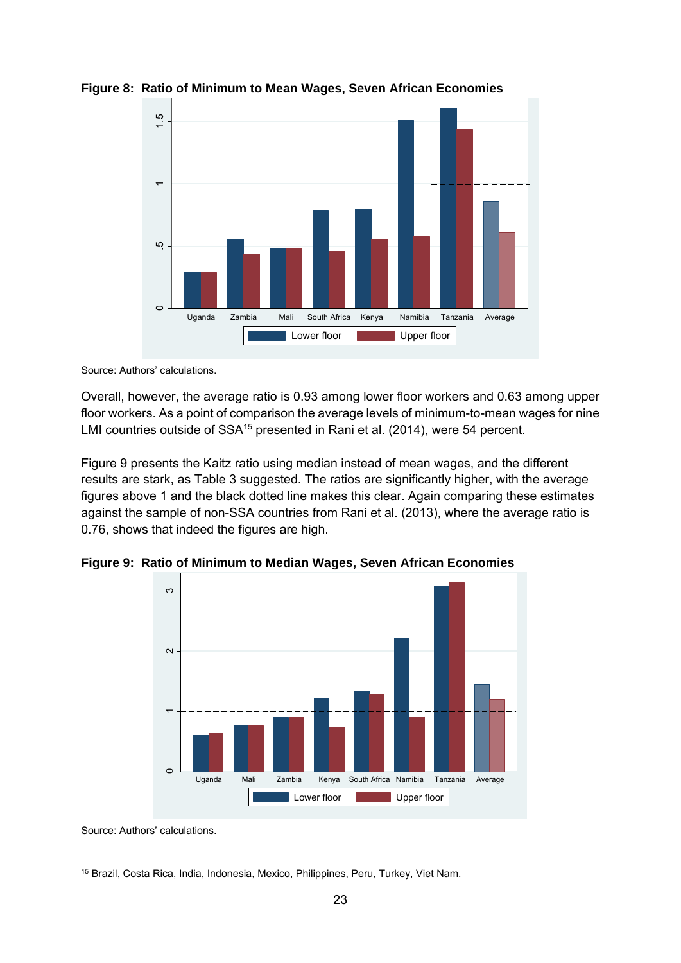

**Figure 8: Ratio of Minimum to Mean Wages, Seven African Economies** 

Source: Authors' calculations.

Overall, however, the average ratio is 0.93 among lower floor workers and 0.63 among upper floor workers. As a point of comparison the average levels of minimum-to-mean wages for nine LMI countries outside of SSA<sup>15</sup> presented in Rani et al. (2014), were 54 percent.

Figure 9 presents the Kaitz ratio using median instead of mean wages, and the different results are stark, as Table 3 suggested. The ratios are significantly higher, with the average figures above 1 and the black dotted line makes this clear. Again comparing these estimates against the sample of non-SSA countries from Rani et al. (2013), where the average ratio is 0.76, shows that indeed the figures are high.





Source: Authors' calculations.

<sup>-</sup>15 Brazil, Costa Rica, India, Indonesia, Mexico, Philippines, Peru, Turkey, Viet Nam.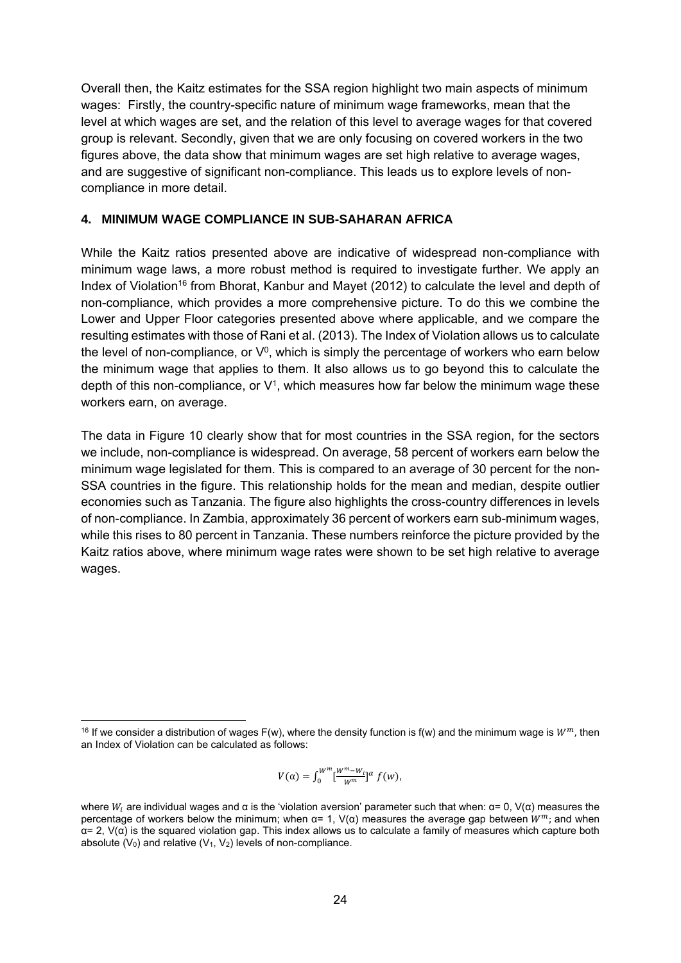Overall then, the Kaitz estimates for the SSA region highlight two main aspects of minimum wages: Firstly, the country-specific nature of minimum wage frameworks, mean that the level at which wages are set, and the relation of this level to average wages for that covered group is relevant. Secondly, given that we are only focusing on covered workers in the two figures above, the data show that minimum wages are set high relative to average wages, and are suggestive of significant non-compliance. This leads us to explore levels of noncompliance in more detail.

#### **4. MINIMUM WAGE COMPLIANCE IN SUB-SAHARAN AFRICA**

While the Kaitz ratios presented above are indicative of widespread non-compliance with minimum wage laws, a more robust method is required to investigate further. We apply an Index of Violation16 from Bhorat, Kanbur and Mayet (2012) to calculate the level and depth of non-compliance, which provides a more comprehensive picture. To do this we combine the Lower and Upper Floor categories presented above where applicable, and we compare the resulting estimates with those of Rani et al. (2013). The Index of Violation allows us to calculate the level of non-compliance, or  $V^0$ , which is simply the percentage of workers who earn below the minimum wage that applies to them. It also allows us to go beyond this to calculate the depth of this non-compliance, or  $V^1$ , which measures how far below the minimum wage these workers earn, on average.

The data in Figure 10 clearly show that for most countries in the SSA region, for the sectors we include, non-compliance is widespread. On average, 58 percent of workers earn below the minimum wage legislated for them. This is compared to an average of 30 percent for the non-SSA countries in the figure. This relationship holds for the mean and median, despite outlier economies such as Tanzania. The figure also highlights the cross-country differences in levels of non-compliance. In Zambia, approximately 36 percent of workers earn sub-minimum wages, while this rises to 80 percent in Tanzania. These numbers reinforce the picture provided by the Kaitz ratios above, where minimum wage rates were shown to be set high relative to average wages.

$$
V(\alpha) = \int_0^{W^m} \left[\frac{W^m - W_i}{W^m}\right]^{\alpha} f(w),
$$

<sup>-</sup><sup>16</sup> If we consider a distribution of wages F(w), where the density function is f(w) and the minimum wage is  $W^m$ , then an Index of Violation can be calculated as follows:

where  $W_i$  are individual wages and α is the 'violation aversion' parameter such that when:  $\alpha = 0$ ,  $V(\alpha)$  measures the percentage of workers below the minimum; when  $\alpha = 1$ ,  $V(\alpha)$  measures the average gap between  $W^m$ ; and when  $\alpha$  = 2, V( $\alpha$ ) is the squared violation gap. This index allows us to calculate a family of measures which capture both absolute ( $V_0$ ) and relative ( $V_1$ ,  $V_2$ ) levels of non-compliance.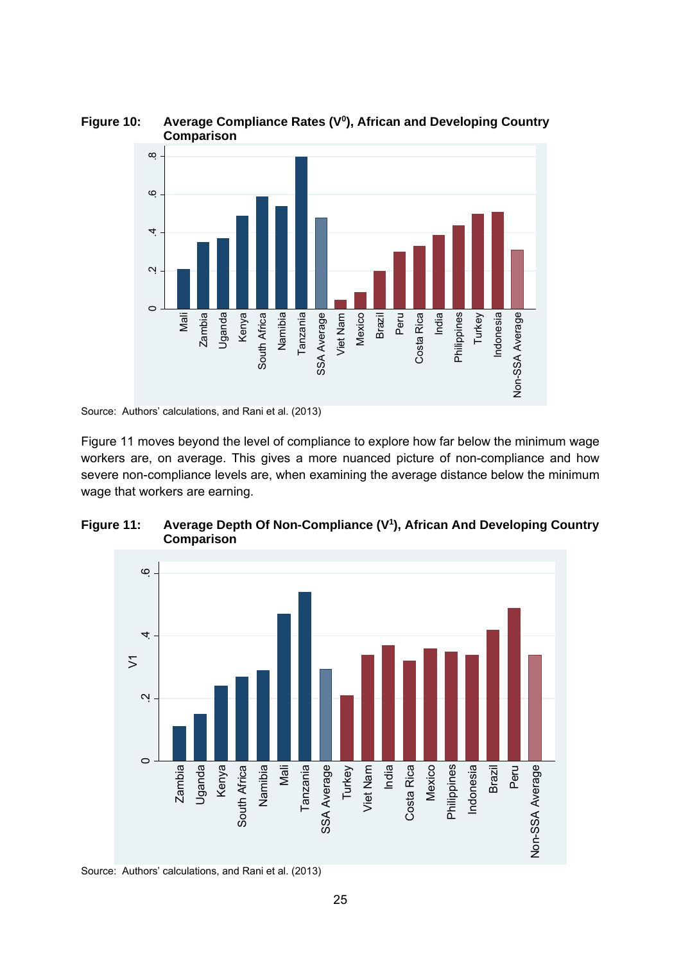

Figure 10: Average Compliance Rates (V<sup>0</sup>), African and Developing Country  **Comparison** 

Source: Authors' calculations, and Rani et al. (2013)

Figure 11 moves beyond the level of compliance to explore how far below the minimum wage workers are, on average. This gives a more nuanced picture of non-compliance and how severe non-compliance levels are, when examining the average distance below the minimum wage that workers are earning.





Source: Authors' calculations, and Rani et al. (2013)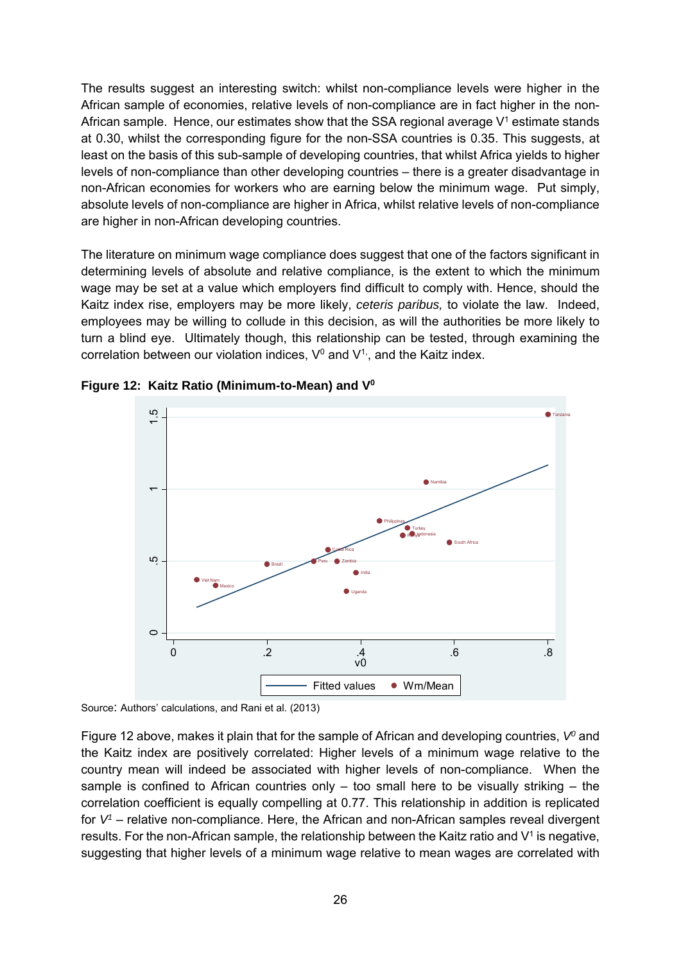The results suggest an interesting switch: whilst non-compliance levels were higher in the African sample of economies, relative levels of non-compliance are in fact higher in the non-African sample. Hence, our estimates show that the SSA regional average  $V<sup>1</sup>$  estimate stands at 0.30, whilst the corresponding figure for the non-SSA countries is 0.35. This suggests, at least on the basis of this sub-sample of developing countries, that whilst Africa yields to higher levels of non-compliance than other developing countries – there is a greater disadvantage in non-African economies for workers who are earning below the minimum wage. Put simply, absolute levels of non-compliance are higher in Africa, whilst relative levels of non-compliance are higher in non-African developing countries.

The literature on minimum wage compliance does suggest that one of the factors significant in determining levels of absolute and relative compliance, is the extent to which the minimum wage may be set at a value which employers find difficult to comply with. Hence, should the Kaitz index rise, employers may be more likely, *ceteris paribus,* to violate the law. Indeed, employees may be willing to collude in this decision, as will the authorities be more likely to turn a blind eye. Ultimately though, this relationship can be tested, through examining the correlation between our violation indices,  $V^0$  and  $V^1$ , and the Kaitz index.



**Figure 12: Kaitz Ratio (Minimum-to-Mean) and V0**

Figure 12 above, makes it plain that for the sample of African and developing countries, V<sup>o</sup> and the Kaitz index are positively correlated: Higher levels of a minimum wage relative to the country mean will indeed be associated with higher levels of non-compliance. When the sample is confined to African countries only  $-$  too small here to be visually striking  $-$  the correlation coefficient is equally compelling at 0.77. This relationship in addition is replicated for *V1* – relative non-compliance. Here, the African and non-African samples reveal divergent results. For the non-African sample, the relationship between the Kaitz ratio and  $V^1$  is negative, suggesting that higher levels of a minimum wage relative to mean wages are correlated with

Source: Authors' calculations, and Rani et al. (2013)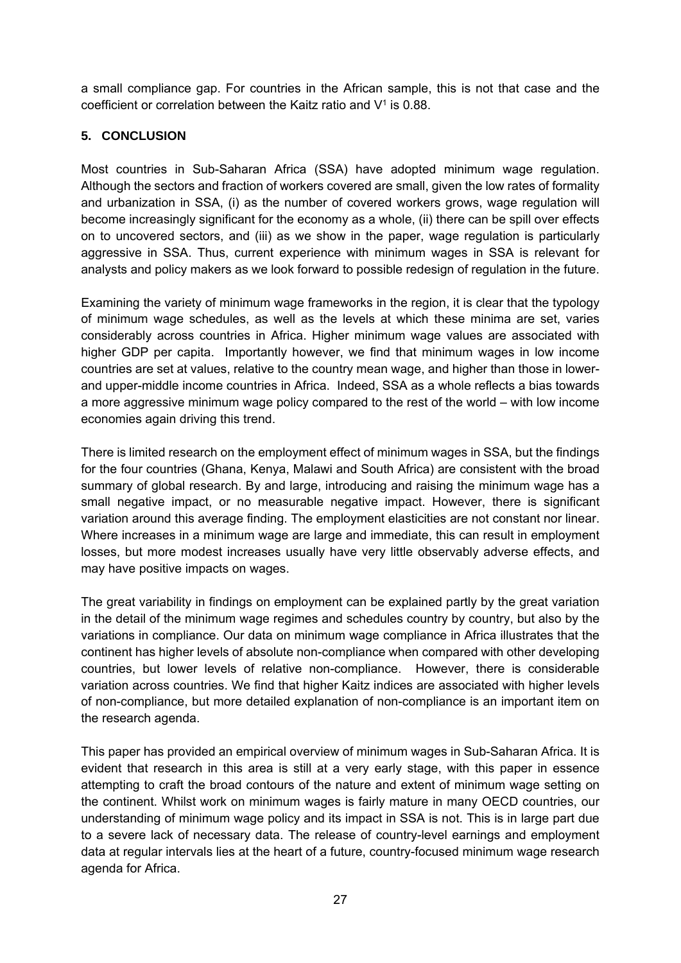a small compliance gap. For countries in the African sample, this is not that case and the coefficient or correlation between the Kaitz ratio and  $V^1$  is 0.88.

### **5. CONCLUSION**

Most countries in Sub-Saharan Africa (SSA) have adopted minimum wage regulation. Although the sectors and fraction of workers covered are small, given the low rates of formality and urbanization in SSA, (i) as the number of covered workers grows, wage regulation will become increasingly significant for the economy as a whole, (ii) there can be spill over effects on to uncovered sectors, and (iii) as we show in the paper, wage regulation is particularly aggressive in SSA. Thus, current experience with minimum wages in SSA is relevant for analysts and policy makers as we look forward to possible redesign of regulation in the future.

Examining the variety of minimum wage frameworks in the region, it is clear that the typology of minimum wage schedules, as well as the levels at which these minima are set, varies considerably across countries in Africa. Higher minimum wage values are associated with higher GDP per capita. Importantly however, we find that minimum wages in low income countries are set at values, relative to the country mean wage, and higher than those in lowerand upper-middle income countries in Africa. Indeed, SSA as a whole reflects a bias towards a more aggressive minimum wage policy compared to the rest of the world – with low income economies again driving this trend.

There is limited research on the employment effect of minimum wages in SSA, but the findings for the four countries (Ghana, Kenya, Malawi and South Africa) are consistent with the broad summary of global research. By and large, introducing and raising the minimum wage has a small negative impact, or no measurable negative impact. However, there is significant variation around this average finding. The employment elasticities are not constant nor linear. Where increases in a minimum wage are large and immediate, this can result in employment losses, but more modest increases usually have very little observably adverse effects, and may have positive impacts on wages.

The great variability in findings on employment can be explained partly by the great variation in the detail of the minimum wage regimes and schedules country by country, but also by the variations in compliance. Our data on minimum wage compliance in Africa illustrates that the continent has higher levels of absolute non-compliance when compared with other developing countries, but lower levels of relative non-compliance. However, there is considerable variation across countries. We find that higher Kaitz indices are associated with higher levels of non-compliance, but more detailed explanation of non-compliance is an important item on the research agenda.

This paper has provided an empirical overview of minimum wages in Sub-Saharan Africa. It is evident that research in this area is still at a very early stage, with this paper in essence attempting to craft the broad contours of the nature and extent of minimum wage setting on the continent. Whilst work on minimum wages is fairly mature in many OECD countries, our understanding of minimum wage policy and its impact in SSA is not. This is in large part due to a severe lack of necessary data. The release of country-level earnings and employment data at regular intervals lies at the heart of a future, country-focused minimum wage research agenda for Africa.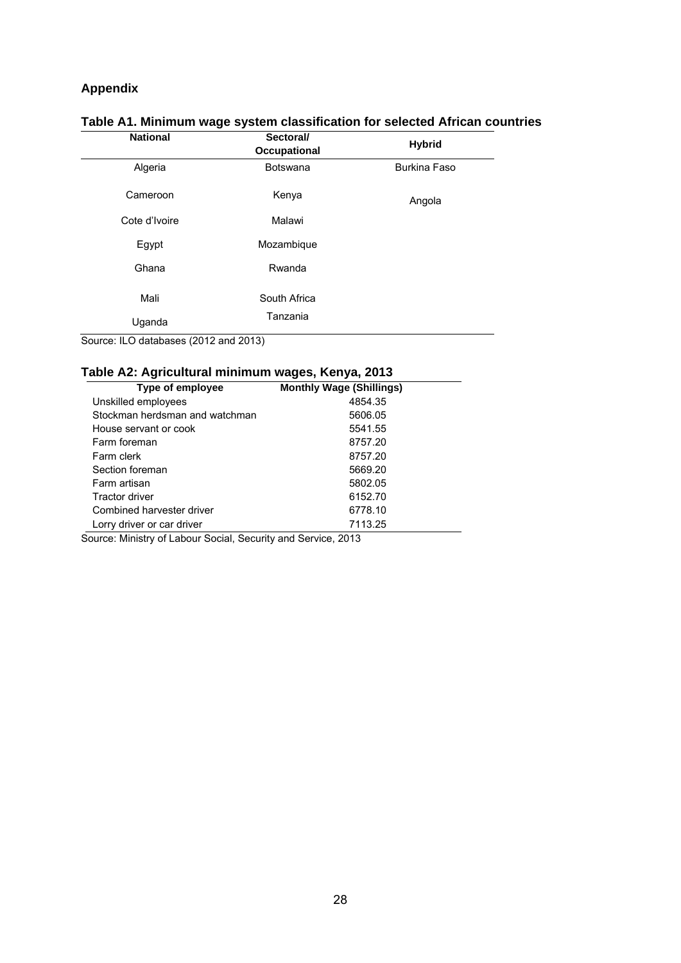## **Appendix**

| <b>National</b> | Sectoral/<br>Occupational | <b>Hybrid</b>       |
|-----------------|---------------------------|---------------------|
| Algeria         | <b>Botswana</b>           | <b>Burkina Faso</b> |
| Cameroon        | Kenya                     | Angola              |
| Cote d'Ivoire   | Malawi                    |                     |
| Egypt           | Mozambique                |                     |
| Ghana           | Rwanda                    |                     |
| Mali            | South Africa              |                     |
| Uganda          | Tanzania                  |                     |

# **Table A1. Minimum wage system classification for selected African countries**

Source: ILO databases (2012 and 2013)

## **Table A2: Agricultural minimum wages, Kenya, 2013**

| Type of employee               | <b>Monthly Wage (Shillings)</b> |
|--------------------------------|---------------------------------|
| Unskilled employees            | 4854.35                         |
| Stockman herdsman and watchman | 5606.05                         |
| House servant or cook          | 5541.55                         |
| Farm foreman                   | 8757.20                         |
| Farm clerk                     | 8757.20                         |
| Section foreman                | 5669.20                         |
| Farm artisan                   | 5802.05                         |
| <b>Tractor driver</b>          | 6152.70                         |
| Combined harvester driver      | 6778.10                         |
| Lorry driver or car driver     | 7113.25                         |

Source: Ministry of Labour Social, Security and Service, 2013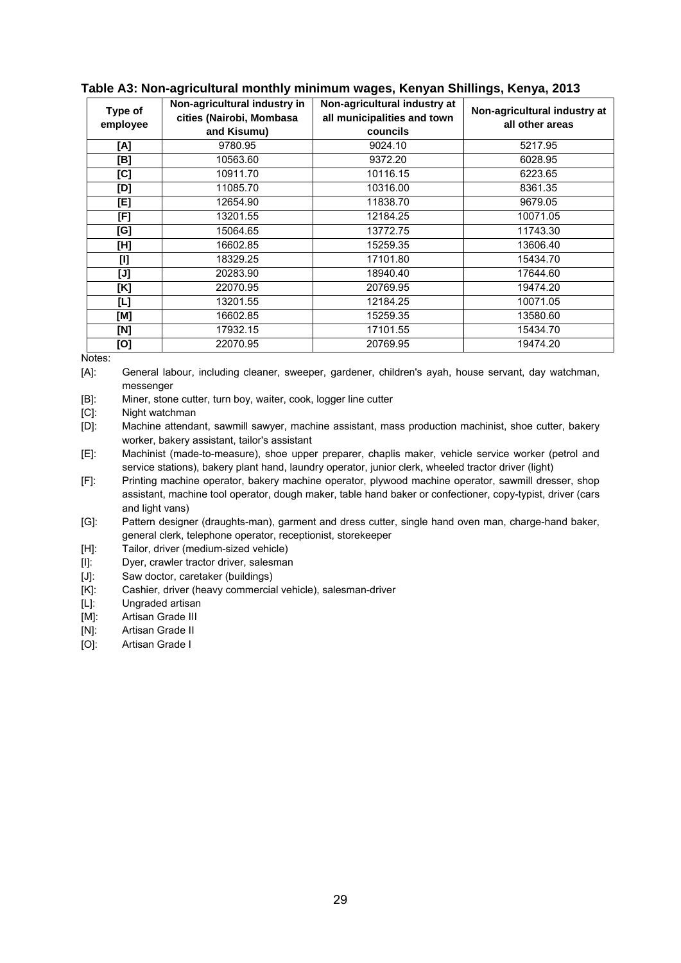| Type of  | Non-agricultural industry in | Non-agricultural industry at | Non-agricultural industry at |  |
|----------|------------------------------|------------------------------|------------------------------|--|
| employee | cities (Nairobi, Mombasa     | all municipalities and town  | all other areas              |  |
|          | and Kisumu)                  | councils                     |                              |  |
| [A]      | 9780.95                      | 9024.10                      | 5217.95                      |  |
| [B]      | 10563.60                     | 9372.20                      | 6028.95                      |  |
| [C]      | 10911.70                     | 10116.15                     | 6223.65                      |  |
| [D]      | 11085.70                     | 10316.00                     | 8361.35                      |  |
| [E]      | 12654.90                     | 11838.70                     | 9679.05                      |  |
| [F]      | 13201.55                     | 12184.25                     | 10071.05                     |  |
| [G]      | 15064.65                     | 13772.75                     | 11743.30                     |  |
| [H]      | 16602.85                     | 15259.35                     | 13606.40                     |  |
| [I]      | 18329.25                     | 17101.80                     | 15434.70                     |  |
| [J]      | 20283.90                     | 18940.40                     | 17644.60                     |  |
| [K]      | 22070.95                     | 20769.95                     | 19474.20                     |  |
| [L]      | 13201.55                     | 12184.25                     | 10071.05                     |  |
| [M]      | 16602.85                     | 15259.35                     | 13580.60                     |  |
| [N]      | 17932.15                     | 17101.55                     | 15434.70                     |  |
| [O]      | 22070.95                     | 20769.95                     | 19474.20                     |  |

#### **Table A3: Non-agricultural monthly minimum wages, Kenyan Shillings, Kenya, 2013**

Notes:

[A]: General labour, including cleaner, sweeper, gardener, children's ayah, house servant, day watchman, messenger

[B]: Miner, stone cutter, turn boy, waiter, cook, logger line cutter

[C]: Night watchman

[D]: Machine attendant, sawmill sawyer, machine assistant, mass production machinist, shoe cutter, bakery worker, bakery assistant, tailor's assistant

[E]: Machinist (made-to-measure), shoe upper preparer, chaplis maker, vehicle service worker (petrol and service stations), bakery plant hand, laundry operator, junior clerk, wheeled tractor driver (light)

[F]: Printing machine operator, bakery machine operator, plywood machine operator, sawmill dresser, shop assistant, machine tool operator, dough maker, table hand baker or confectioner, copy-typist, driver (cars and light vans)

[G]: Pattern designer (draughts-man), garment and dress cutter, single hand oven man, charge-hand baker, general clerk, telephone operator, receptionist, storekeeper

[H]: Tailor, driver (medium-sized vehicle)

[I]: Dyer, crawler tractor driver, salesman

[J]: Saw doctor, caretaker (buildings)

[K]: Cashier, driver (heavy commercial vehicle), salesman-driver

[L]: Ungraded artisan

[M]: Artisan Grade III

- [N]: Artisan Grade II
- [O]: Artisan Grade I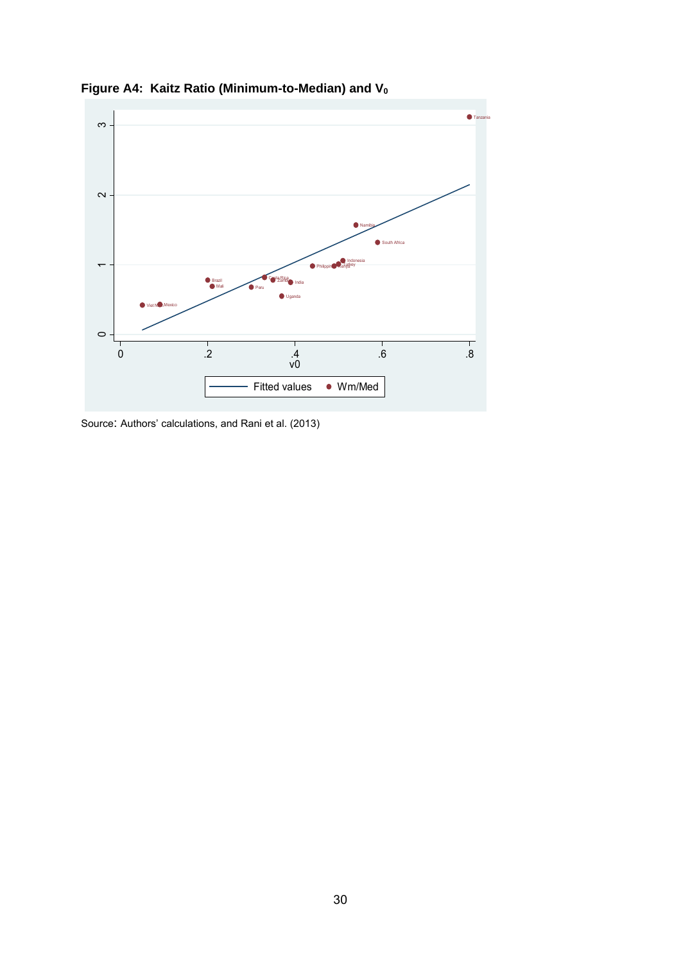

**Figure A4: Kaitz Ratio (Minimum-to-Median) and V0**

Source: Authors' calculations, and Rani et al. (2013)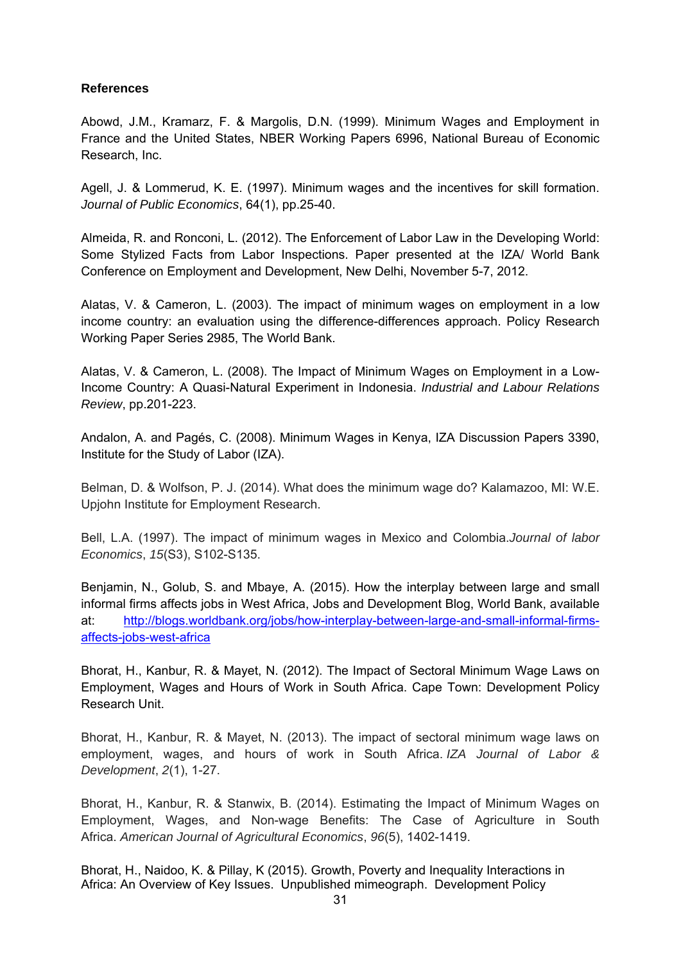#### **References**

Abowd, J.M., Kramarz, F. & Margolis, D.N. (1999). Minimum Wages and Employment in France and the United States, NBER Working Papers 6996, National Bureau of Economic Research, Inc.

Agell, J. & Lommerud, K. E. (1997). Minimum wages and the incentives for skill formation. *Journal of Public Economics*, 64(1), pp.25-40.

Almeida, R. and Ronconi, L. (2012). The Enforcement of Labor Law in the Developing World: Some Stylized Facts from Labor Inspections. Paper presented at the IZA/ World Bank Conference on Employment and Development, New Delhi, November 5-7, 2012.

Alatas, V. & Cameron, L. (2003). The impact of minimum wages on employment in a low income country: an evaluation using the difference-differences approach. Policy Research Working Paper Series 2985, The World Bank.

Alatas, V. & Cameron, L. (2008). The Impact of Minimum Wages on Employment in a Low-Income Country: A Quasi-Natural Experiment in Indonesia. *Industrial and Labour Relations Review*, pp.201-223.

Andalon, A. and Pagés, C. (2008). Minimum Wages in Kenya, IZA Discussion Papers 3390, Institute for the Study of Labor (IZA).

Belman, D. & Wolfson, P. J. (2014). What does the minimum wage do? Kalamazoo, MI: W.E. Upjohn Institute for Employment Research.

Bell, L.A. (1997). The impact of minimum wages in Mexico and Colombia.*Journal of labor Economics*, *15*(S3), S102-S135.

Benjamin, N., Golub, S. and Mbaye, A. (2015). How the interplay between large and small informal firms affects jobs in West Africa, Jobs and Development Blog, World Bank, available at: http://blogs.worldbank.org/jobs/how-interplay-between-large-and-small-informal-firmsaffects-jobs-west-africa

Bhorat, H., Kanbur, R. & Mayet, N. (2012). The Impact of Sectoral Minimum Wage Laws on Employment, Wages and Hours of Work in South Africa. Cape Town: Development Policy Research Unit.

Bhorat, H., Kanbur, R. & Mayet, N. (2013). The impact of sectoral minimum wage laws on employment, wages, and hours of work in South Africa. *IZA Journal of Labor & Development*, *2*(1), 1-27.

Bhorat, H., Kanbur, R. & Stanwix, B. (2014). Estimating the Impact of Minimum Wages on Employment, Wages, and Non-wage Benefits: The Case of Agriculture in South Africa. *American Journal of Agricultural Economics*, *96*(5), 1402-1419.

Bhorat, H., Naidoo, K. & Pillay, K (2015). Growth, Poverty and Inequality Interactions in Africa: An Overview of Key Issues. Unpublished mimeograph. Development Policy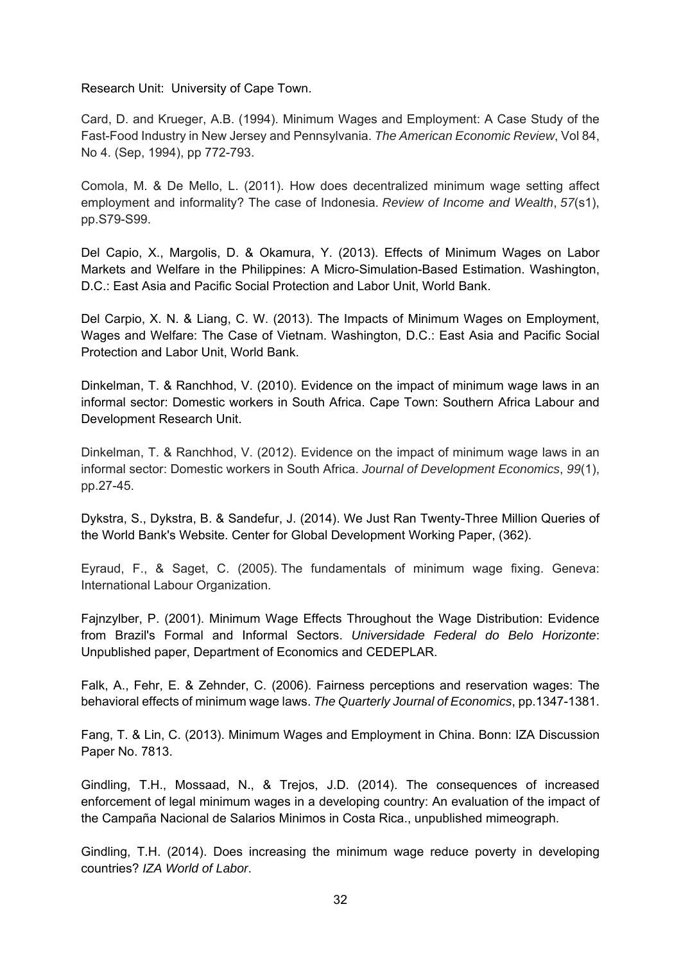Research Unit: University of Cape Town.

Card, D. and Krueger, A.B. (1994). Minimum Wages and Employment: A Case Study of the Fast-Food Industry in New Jersey and Pennsylvania. *The American Economic Review*, Vol 84, No 4. (Sep, 1994), pp 772-793.

Comola, M. & De Mello, L. (2011). How does decentralized minimum wage setting affect employment and informality? The case of Indonesia. *Review of Income and Wealth*, *57*(s1), pp.S79-S99.

Del Capio, X., Margolis, D. & Okamura, Y. (2013). Effects of Minimum Wages on Labor Markets and Welfare in the Philippines: A Micro-Simulation-Based Estimation. Washington, D.C.: East Asia and Pacific Social Protection and Labor Unit, World Bank.

Del Carpio, X. N. & Liang, C. W. (2013). The Impacts of Minimum Wages on Employment, Wages and Welfare: The Case of Vietnam. Washington, D.C.: East Asia and Pacific Social Protection and Labor Unit, World Bank.

Dinkelman, T. & Ranchhod, V. (2010). Evidence on the impact of minimum wage laws in an informal sector: Domestic workers in South Africa. Cape Town: Southern Africa Labour and Development Research Unit.

Dinkelman, T. & Ranchhod, V. (2012). Evidence on the impact of minimum wage laws in an informal sector: Domestic workers in South Africa. *Journal of Development Economics*, *99*(1), pp.27-45.

Dykstra, S., Dykstra, B. & Sandefur, J. (2014). We Just Ran Twenty-Three Million Queries of the World Bank's Website. Center for Global Development Working Paper, (362).

Eyraud, F., & Saget, C. (2005). The fundamentals of minimum wage fixing. Geneva: International Labour Organization.

Fajnzylber, P. (2001). Minimum Wage Effects Throughout the Wage Distribution: Evidence from Brazil's Formal and Informal Sectors. *Universidade Federal do Belo Horizonte*: Unpublished paper, Department of Economics and CEDEPLAR.

Falk, A., Fehr, E. & Zehnder, C. (2006). Fairness perceptions and reservation wages: The behavioral effects of minimum wage laws. *The Quarterly Journal of Economics*, pp.1347-1381.

Fang, T. & Lin, C. (2013). Minimum Wages and Employment in China. Bonn: IZA Discussion Paper No. 7813.

Gindling, T.H., Mossaad, N., & Trejos, J.D. (2014). The consequences of increased enforcement of legal minimum wages in a developing country: An evaluation of the impact of the Campaña Nacional de Salarios Minimos in Costa Rica., unpublished mimeograph.

Gindling, T.H. (2014). Does increasing the minimum wage reduce poverty in developing countries? *IZA World of Labor*.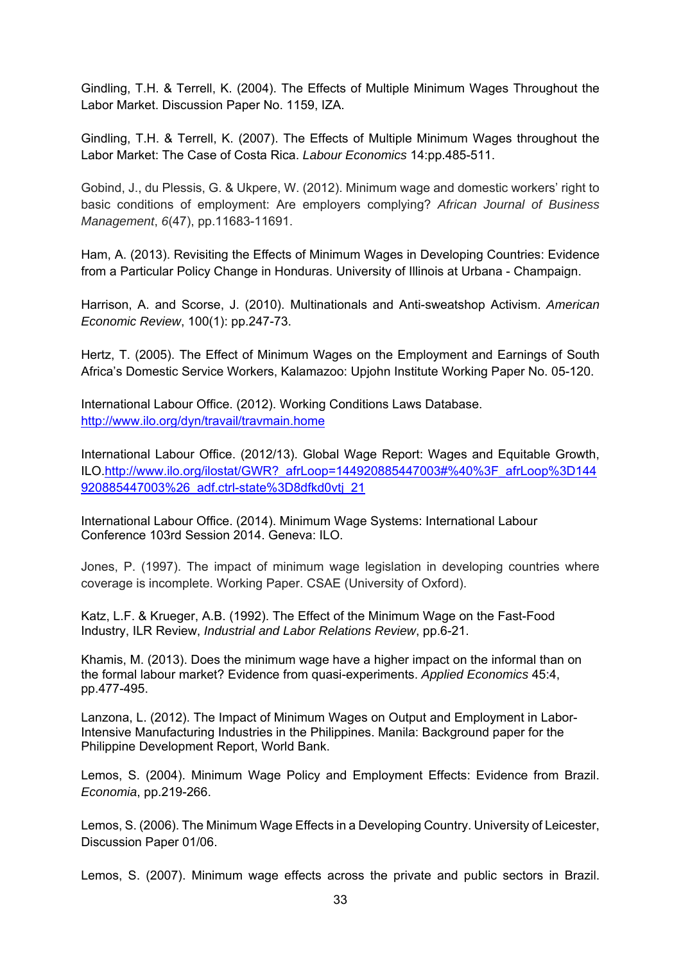Gindling, T.H. & Terrell, K. (2004). The Effects of Multiple Minimum Wages Throughout the Labor Market. Discussion Paper No. 1159, IZA.

Gindling, T.H. & Terrell, K. (2007). The Effects of Multiple Minimum Wages throughout the Labor Market: The Case of Costa Rica. *Labour Economics* 14:pp.485-511.

Gobind, J., du Plessis, G. & Ukpere, W. (2012). Minimum wage and domestic workers' right to basic conditions of employment: Are employers complying? *African Journal of Business Management*, *6*(47), pp.11683-11691.

Ham, A. (2013). Revisiting the Effects of Minimum Wages in Developing Countries: Evidence from a Particular Policy Change in Honduras. University of Illinois at Urbana - Champaign.

Harrison, A. and Scorse, J. (2010). Multinationals and Anti-sweatshop Activism. *American Economic Review*, 100(1): pp.247-73.

Hertz, T. (2005). The Effect of Minimum Wages on the Employment and Earnings of South Africa's Domestic Service Workers, Kalamazoo: Upjohn Institute Working Paper No. 05-120.

International Labour Office. (2012). Working Conditions Laws Database. http://www.ilo.org/dyn/travail/travmain.home

International Labour Office. (2012/13). Global Wage Report: Wages and Equitable Growth, ILO.http://www.ilo.org/ilostat/GWR?\_afrLoop=144920885447003#%40%3F\_afrLoop%3D144 920885447003%26\_adf.ctrl-state%3D8dfkd0vtj\_21

International Labour Office. (2014). Minimum Wage Systems: International Labour Conference 103rd Session 2014. Geneva: ILO.

Jones, P. (1997). The impact of minimum wage legislation in developing countries where coverage is incomplete. Working Paper. CSAE (University of Oxford).

Katz, L.F. & Krueger, A.B. (1992). The Effect of the Minimum Wage on the Fast-Food Industry, ILR Review, *Industrial and Labor Relations Review*, pp.6-21.

Khamis, M. (2013). Does the minimum wage have a higher impact on the informal than on the formal labour market? Evidence from quasi-experiments. *Applied Economics* 45:4, pp.477-495.

Lanzona, L. (2012). The Impact of Minimum Wages on Output and Employment in Labor-Intensive Manufacturing Industries in the Philippines. Manila: Background paper for the Philippine Development Report, World Bank.

Lemos, S. (2004). Minimum Wage Policy and Employment Effects: Evidence from Brazil. *Economia*, pp.219-266.

Lemos, S. (2006). The Minimum Wage Effects in a Developing Country. University of Leicester, Discussion Paper 01/06.

Lemos, S. (2007). Minimum wage effects across the private and public sectors in Brazil.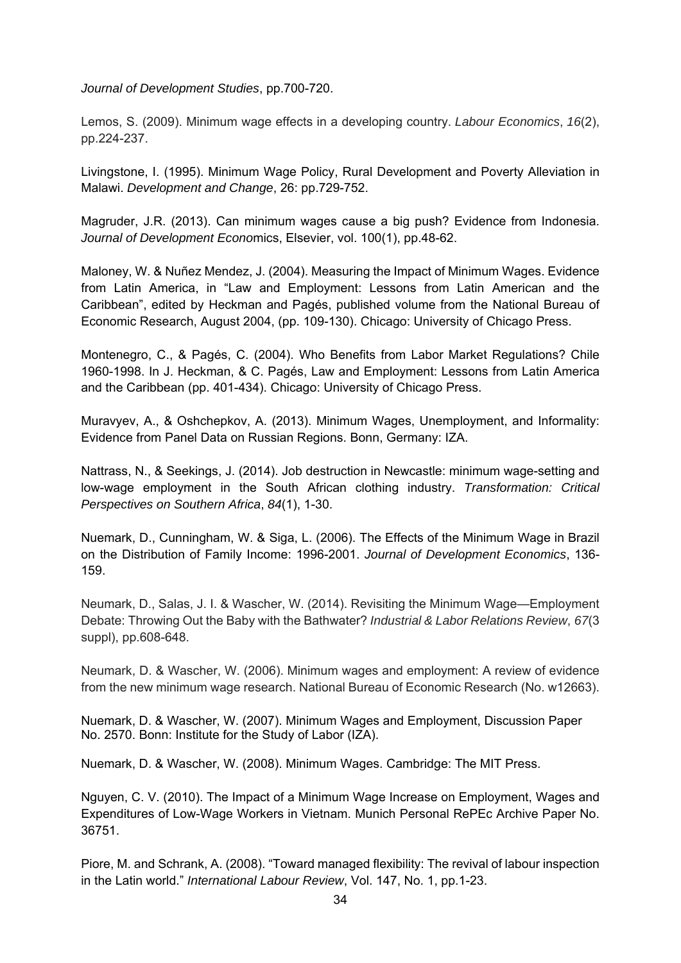*Journal of Development Studies*, pp.700-720.

Lemos, S. (2009). Minimum wage effects in a developing country. *Labour Economics*, *16*(2), pp.224-237.

Livingstone, I. (1995). Minimum Wage Policy, Rural Development and Poverty Alleviation in Malawi. *Development and Change*, 26: pp.729-752.

Magruder, J.R. (2013). Can minimum wages cause a big push? Evidence from Indonesia. *Journal of Development Econo*mics, Elsevier, vol. 100(1), pp.48-62.

Maloney, W. & Nuñez Mendez, J. (2004). Measuring the Impact of Minimum Wages. Evidence from Latin America, in "Law and Employment: Lessons from Latin American and the Caribbean", edited by Heckman and Pagés, published volume from the National Bureau of Economic Research, August 2004, (pp. 109-130). Chicago: University of Chicago Press.

Montenegro, C., & Pagés, C. (2004). Who Benefits from Labor Market Regulations? Chile 1960-1998. In J. Heckman, & C. Pagés, Law and Employment: Lessons from Latin America and the Caribbean (pp. 401-434). Chicago: University of Chicago Press.

Muravyev, A., & Oshchepkov, A. (2013). Minimum Wages, Unemployment, and Informality: Evidence from Panel Data on Russian Regions. Bonn, Germany: IZA.

Nattrass, N., & Seekings, J. (2014). Job destruction in Newcastle: minimum wage-setting and low-wage employment in the South African clothing industry. *Transformation: Critical Perspectives on Southern Africa*, *84*(1), 1-30.

Nuemark, D., Cunningham, W. & Siga, L. (2006). The Effects of the Minimum Wage in Brazil on the Distribution of Family Income: 1996-2001. *Journal of Development Economics*, 136- 159.

Neumark, D., Salas, J. I. & Wascher, W. (2014). Revisiting the Minimum Wage—Employment Debate: Throwing Out the Baby with the Bathwater? *Industrial & Labor Relations Review*, *67*(3 suppl), pp.608-648.

Neumark, D. & Wascher, W. (2006). Minimum wages and employment: A review of evidence from the new minimum wage research. National Bureau of Economic Research (No. w12663).

Nuemark, D. & Wascher, W. (2007). Minimum Wages and Employment, Discussion Paper No. 2570. Bonn: Institute for the Study of Labor (IZA).

Nuemark, D. & Wascher, W. (2008). Minimum Wages. Cambridge: The MIT Press.

Nguyen, C. V. (2010). The Impact of a Minimum Wage Increase on Employment, Wages and Expenditures of Low-Wage Workers in Vietnam. Munich Personal RePEc Archive Paper No. 36751.

Piore, M. and Schrank, A. (2008). "Toward managed flexibility: The revival of labour inspection in the Latin world." *International Labour Review*, Vol. 147, No. 1, pp.1-23.